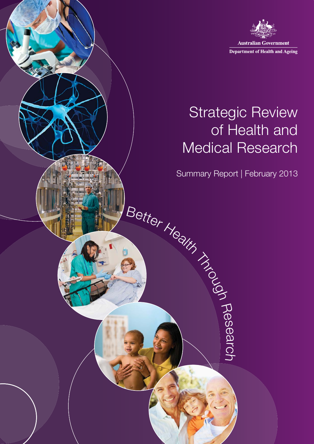

# Strategic Review of Health and Medical Research

Summary Report | February 2013

Res

 $\mathbb O$  $\overline{\omega}$  $\overline{O}$ h

Better Health Tour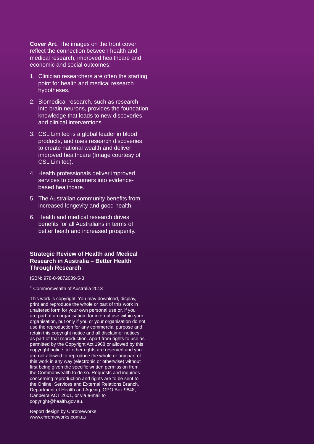**Cover Art.** The images on the front cover reflect the connection between health and medical research, improved healthcare and economic and social outcomes:

- 1. Clinician researchers are often the starting point for health and medical research hypotheses.
- 2. Biomedical research, such as research into brain neurons, provides the foundation knowledge that leads to new discoveries and clinical interventions.
- 3. CSL Limited is a global leader in blood products, and uses research discoveries to create national wealth and deliver improved healthcare (Image courtesy of CSL Limited).
- 4. Health professionals deliver improved services to consumers into evidencebased healthcare.
- 5. The Australian community benefits from increased longevity and good health.
- 6. Health and medical research drives benefits for all Australians in terms of better heath and increased prosperity.

#### **Strategic Review of Health and Medical Research in Australia – Better Health Through Research**

ISBN: 978-0-9872039-5-3

© Commonwealth of Australia 2013

This work is copyright. You may download, display, print and reproduce the whole or part of this work in unaltered form for your own personal use or, if you are part of an organisation, for internal use within your organisation, but only if you or your organisation do not use the reproduction for any commercial purpose and retain this copyright notice and all disclaimer notices as part of that reproduction. Apart from rights to use as permitted by the Copyright Act 1968 or allowed by this copyright notice, all other rights are reserved and you are not allowed to reproduce the whole or any part of this work in any way (electronic or otherwise) without first being given the specific written permission from the Commonwealth to do so. Requests and inquiries concerning reproduction and rights are to be sent to the Online, Services and External Relations Branch, Department of Health and Ageing, GPO Box 9848, Canberra ACT 2601, or via e-mail to copyright@health.gov.au.

Report design by Chromeworks www.chromeworks.com.au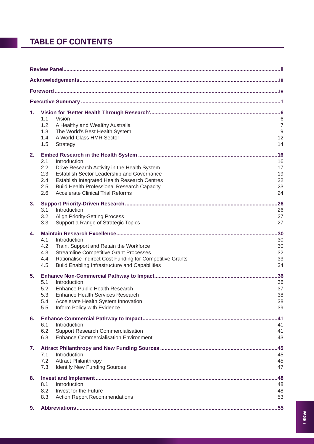### **TABLE OF CONTENTS**

| 1. |                                                                                                       |                |
|----|-------------------------------------------------------------------------------------------------------|----------------|
|    | 1.1<br>Vision                                                                                         | 6              |
|    | 1.2<br>A Healthy and Wealthy Australia                                                                | $\overline{7}$ |
|    | 1.3<br>The World's Best Health System                                                                 | $\overline{9}$ |
|    | A World-Class HMR Sector<br>1.4                                                                       | 12             |
|    | 1.5<br>Strategy                                                                                       | 14             |
| 2. |                                                                                                       | .16            |
|    | 2.1<br>Introduction                                                                                   | 16             |
|    | 2.2<br>Drive Research Activity in the Health System                                                   | 17             |
|    | 2.3<br>Establish Sector Leadership and Governance                                                     | 19             |
|    | Establish Integrated Health Research Centres<br>2.4                                                   | 22             |
|    | <b>Build Health Professional Research Capacity</b><br>2.5<br><b>Accelerate Clinical Trial Reforms</b> | 23             |
|    | 2.6                                                                                                   | 24             |
| 3. |                                                                                                       | .26            |
|    | Introduction<br>3.1                                                                                   | 26             |
|    | 3.2<br><b>Align Priority-Setting Process</b>                                                          | 27             |
|    | Support a Range of Strategic Topics<br>3.3                                                            | 27             |
| 4. |                                                                                                       | .30            |
|    | 4.1<br>Introduction                                                                                   | 30             |
|    | 4.2<br>Train, Support and Retain the Workforce                                                        | 30             |
|    | 4.3<br><b>Streamline Competitive Grant Processes</b>                                                  | 32             |
|    | Rationalise Indirect Cost Funding for Competitive Grants<br>4.4                                       | 33             |
|    | <b>Build Enabling Infrastructure and Capabilities</b><br>4.5                                          | 34             |
| 5. |                                                                                                       |                |
|    | 5.1<br>Introduction                                                                                   | 36             |
|    | <b>Enhance Public Health Research</b><br>5.2                                                          | 37             |
|    | 5.3<br><b>Enhance Health Services Research</b>                                                        | 38             |
|    | Accelerate Health System Innovation<br>5.4                                                            | 38             |
|    | Inform Policy with Evidence<br>5.5                                                                    | 39             |
| 6. |                                                                                                       | .41            |
|    | 6.1<br>Introduction                                                                                   | 41             |
|    | 6.2<br><b>Support Research Commercialisation</b>                                                      | 41             |
|    | 6.3<br><b>Enhance Commercialisation Environment</b>                                                   | 43             |
| 7. |                                                                                                       | .45            |
|    | Introduction<br>7.1                                                                                   | 45             |
|    | <b>Attract Philanthropy</b><br>7.2                                                                    | 45             |
|    | <b>Identify New Funding Sources</b><br>7.3                                                            | 47             |
| 8. |                                                                                                       | .48            |
|    | 8.1<br>Introduction                                                                                   | 48             |
|    | 8.2<br>Invest for the Future                                                                          | 48             |
|    | <b>Action Report Recommendations</b><br>8.3                                                           | 53             |
| 9. |                                                                                                       |                |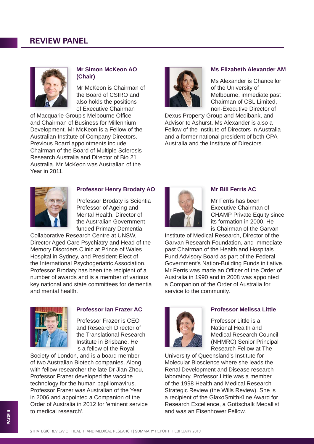

### **Mr Simon McKeon AO (Chair)**

Mr McKeon is Chairman of the Board of CSIRO and also holds the positions of Executive Chairman

of Macquarie Group's Melbourne Office and Chairman of Business for Millennium Development. Mr McKeon is a Fellow of the Australian Institute of Company Directors. Previous Board appointments include Chairman of the Board of Multiple Sclerosis Research Australia and Director of Bio 21 Australia. Mr McKeon was Australian of the Year in 2011.



### **Ms Elizabeth Alexander AM**

Ms Alexander is Chancellor of the University of Melbourne, immediate past Chairman of CSL Limited, non-Executive Director of

Dexus Property Group and Medibank, and Advisor to Ashurst. Ms Alexander is also a Fellow of the Institute of Directors in Australia and a former national president of both CPA Australia and the Institute of Directors.



### **Professor Henry Brodaty AO**

Professor Brodaty is Scientia Professor of Ageing and Mental Health, Director of the Australian Governmentfunded Primary Dementia

Collaborative Research Centre at UNSW, Director Aged Care Psychiatry and Head of the Memory Disorders Clinic at Prince of Wales Hospital in Sydney, and President-Elect of the International Psychogeriatric Association. Professor Brodaty has been the recipient of a number of awards and is a member of various key national and state committees for dementia and mental health.



### **Professor Ian Frazer AC**

Professor Frazer is CEO and Research Director of the Translational Research Institute in Brisbane. He is a fellow of the Royal

Society of London, and is a board member of two Australian Biotech companies. Along with fellow researcher the late Dr Jian Zhou, Professor Frazer developed the vaccine technology for the human papillomavirus. Professor Frazer was Australian of the Year in 2006 and appointed a Companion of the Order of Australia in 2012 for 'eminent service to medical research'.



### **Mr Bill Ferris AC**

Mr Ferris has been Executive Chairman of CHAMP Private Equity since its formation in 2000. He is Chairman of the Garvan

Institute of Medical Research, Director of the Garvan Research Foundation, and immediate past Chairman of the Health and Hospitals Fund Advisory Board as part of the Federal Government's Nation-Building Funds initiative. Mr Ferris was made an Officer of the Order of Australia in 1990 and in 2008 was appointed a Companion of the Order of Australia for service to the community.



### **Professor Melissa Little**

Professor Little is a National Health and Medical Research Council (NHMRC) Senior Principal Research Fellow at The

University of Queensland's Institute for Molecular Bioscience where she leads the Renal Development and Disease research laboratory. Professor Little was a member of the 1998 Health and Medical Research Strategic Review (the Wills Review). She is a recipient of the GlaxoSmithKline Award for Research Excellence, a Gottschalk Medallist, and was an Eisenhower Fellow.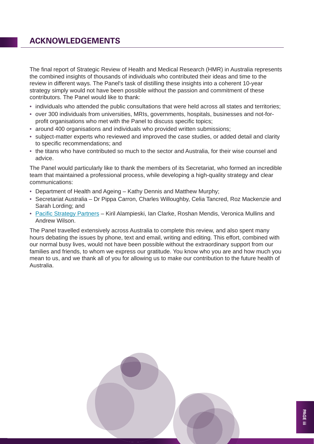The final report of Strategic Review of Health and Medical Research (HMR) in Australia represents the combined insights of thousands of individuals who contributed their ideas and time to the review in different ways. The Panel's task of distilling these insights into a coherent 10-year strategy simply would not have been possible without the passion and commitment of these contributors. The Panel would like to thank:

- individuals who attended the public consultations that were held across all states and territories;
- over 300 individuals from universities, MRIs, governments, hospitals, businesses and not-forprofit organisations who met with the Panel to discuss specific topics;
- around 400 organisations and individuals who provided written submissions;
- subject-matter experts who reviewed and improved the case studies, or added detail and clarity to specific recommendations; and
- the titans who have contributed so much to the sector and Australia, for their wise counsel and advice.

The Panel would particularly like to thank the members of its Secretariat, who formed an incredible team that maintained a professional process, while developing a high-quality strategy and clear communications:

- Department of Health and Ageing Kathy Dennis and Matthew Murphy;
- Secretariat Australia Dr Pippa Carron, Charles Willoughby, Celia Tancred, Roz Mackenzie and Sarah Lording; and
- Pacific Strategy Partners Kiril Alampieski, Ian Clarke, Roshan Mendis, Veronica Mullins and Andrew Wilson.

The Panel travelled extensively across Australia to complete this review, and also spent many hours debating the issues by phone, text and email, writing and editing. This effort, combined with our normal busy lives, would not have been possible without the extraordinary support from our families and friends, to whom we express our gratitude. You know who you are and how much you mean to us, and we thank all of you for allowing us to make our contribution to the future health of Australia.

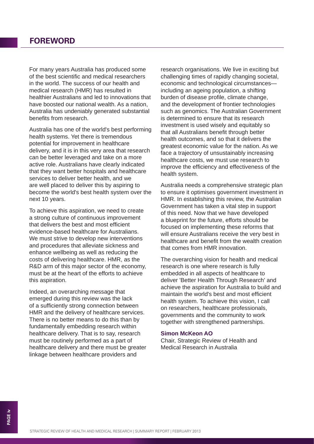For many years Australia has produced some of the best scientific and medical researchers in the world. The success of our health and medical research (HMR) has resulted in healthier Australians and led to innovations that have boosted our national wealth. As a nation, Australia has undeniably generated substantial benefits from research.

Australia has one of the world's best performing health systems. Yet there is tremendous potential for improvement in healthcare delivery, and it is in this very area that research can be better leveraged and take on a more active role. Australians have clearly indicated that they want better hospitals and healthcare services to deliver better health, and we are well placed to deliver this by aspiring to become the world's best health system over the next 10 years.

To achieve this aspiration, we need to create a strong culture of continuous improvement that delivers the best and most efficient evidence-based healthcare for Australians. We must strive to develop new interventions and procedures that alleviate sickness and enhance wellbeing as well as reducing the costs of delivering healthcare. HMR, as the R&D arm of this major sector of the economy, must be at the heart of the efforts to achieve this aspiration.

Indeed, an overarching message that emerged during this review was the lack of a sufficiently strong connection between HMR and the delivery of healthcare services. There is no better means to do this than by fundamentally embedding research within healthcare delivery. That is to say, research must be routinely performed as a part of healthcare delivery and there must be greater linkage between healthcare providers and

research organisations. We live in exciting but challenging times of rapidly changing societal, economic and technological circumstances including an ageing population, a shifting burden of disease profile, climate change, and the development of frontier technologies such as genomics. The Australian Government is determined to ensure that its research investment is used wisely and equitably so that all Australians benefit through better health outcomes, and so that it delivers the greatest economic value for the nation. As we face a trajectory of unsustainably increasing healthcare costs, we must use research to improve the efficiency and effectiveness of the health system.

Australia needs a comprehensive strategic plan to ensure it optimises government investment in HMR. In establishing this review, the Australian Government has taken a vital step in support of this need. Now that we have developed a blueprint for the future, efforts should be focused on implementing these reforms that will ensure Australians receive the very best in healthcare and benefit from the wealth creation that comes from HMR innovation.

The overarching vision for health and medical research is one where research is fully embedded in all aspects of healthcare to deliver 'Better Health Through Research' and achieve the aspiration for Australia to build and maintain the world's best and most efficient health system. To achieve this vision, I call on researchers, healthcare professionals, governments and the community to work together with strengthened partnerships.

#### **Simon McKeon AO**

Chair, Strategic Review of Health and Medical Research in Australia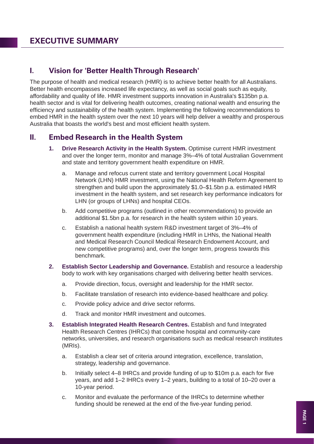### **I. Vision for 'Better Health Through Research'**

The purpose of health and medical research (HMR) is to achieve better health for all Australians. Better health encompasses increased life expectancy, as well as social goals such as equity, affordability and quality of life. HMR investment supports innovation in Australia's \$135bn p.a. health sector and is vital for delivering health outcomes, creating national wealth and ensuring the efficiency and sustainability of the health system. Implementing the following recommendations to embed HMR in the health system over the next 10 years will help deliver a wealthy and prosperous Australia that boasts the world's best and most efficient health system.

### **II. Embed Research in the Health System**

- **1. Drive Research Activity in the Health System.** Optimise current HMR investment and over the longer term, monitor and manage 3%–4% of total Australian Government and state and territory government health expenditure on HMR.
	- a. Manage and refocus current state and territory government Local Hospital Network (LHN) HMR investment, using the National Health Reform Agreement to strengthen and build upon the approximately \$1.0–\$1.5bn p.a. estimated HMR investment in the health system, and set research key performance indicators for LHN (or groups of LHNs) and hospital CEOs.
	- b. Add competitive programs (outlined in other recommendations) to provide an additional \$1.5bn p.a. for research in the health system within 10 years.
	- c. Establish a national health system R&D investment target of 3%–4% of government health expenditure (including HMR in LHNs, the National Health and Medical Research Council Medical Research Endowment Account, and new competitive programs) and, over the longer term, progress towards this benchmark.
- **2. Establish Sector Leadership and Governance.** Establish and resource a leadership body to work with key organisations charged with delivering better health services.
	- a. Provide direction, focus, oversight and leadership for the HMR sector.
	- b. Facilitate translation of research into evidence-based healthcare and policy.
	- c. Provide policy advice and drive sector reforms.
	- d. Track and monitor HMR investment and outcomes.
- **3. Establish Integrated Health Research Centres.** Establish and fund Integrated Health Research Centres (IHRCs) that combine hospital and community-care networks, universities, and research organisations such as medical research institutes (MRIs).
	- a. Establish a clear set of criteria around integration, excellence, translation, strategy, leadership and governance.
	- b. Initially select 4–8 IHRCs and provide funding of up to \$10m p.a. each for five years, and add 1–2 IHRCs every 1–2 years, building to a total of 10–20 over a 10-year period.
	- c. Monitor and evaluate the performance of the IHRCs to determine whether funding should be renewed at the end of the five-year funding period.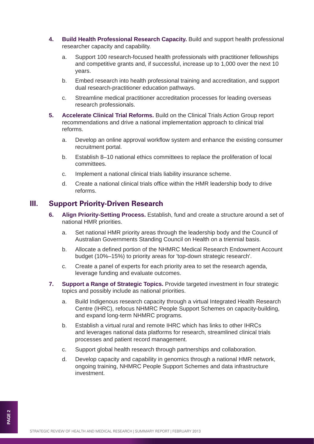- **4. Build Health Professional Research Capacity.** Build and support health professional researcher capacity and capability.
	- a. Support 100 research-focused health professionals with practitioner fellowships and competitive grants and, if successful, increase up to 1,000 over the next 10 years.
	- b. Embed research into health professional training and accreditation, and support dual research-practitioner education pathways.
	- c. Streamline medical practitioner accreditation processes for leading overseas research professionals.
- **5. Accelerate Clinical Trial Reforms.** Build on the Clinical Trials Action Group report recommendations and drive a national implementation approach to clinical trial reforms.
	- a. Develop an online approval workflow system and enhance the existing consumer recruitment portal.
	- b. Establish 8–10 national ethics committees to replace the proliferation of local committees.
	- c. Implement a national clinical trials liability insurance scheme.
	- d. Create a national clinical trials office within the HMR leadership body to drive reforms.

### **III. Support Priority-Driven Research**

- **6. Align Priority-Setting Process.** Establish, fund and create a structure around a set of national HMR priorities.
	- a. Set national HMR priority areas through the leadership body and the Council of Australian Governments Standing Council on Health on a triennial basis.
	- b. Allocate a defined portion of the NHMRC Medical Research Endowment Account budget (10%–15%) to priority areas for 'top-down strategic research'.
	- c. Create a panel of experts for each priority area to set the research agenda, leverage funding and evaluate outcomes.
- **7. Support a Range of Strategic Topics.** Provide targeted investment in four strategic topics and possibly include as national priorities.
	- a. Build Indigenous research capacity through a virtual Integrated Health Research Centre (IHRC), refocus NHMRC People Support Schemes on capacity-building, and expand long-term NHMRC programs.
	- b. Establish a virtual rural and remote IHRC which has links to other IHRCs and leverages national data platforms for research, streamlined clinical trials processes and patient record management.
	- c. Support global health research through partnerships and collaboration.
	- d. Develop capacity and capability in genomics through a national HMR network, ongoing training, NHMRC People Support Schemes and data infrastructure investment.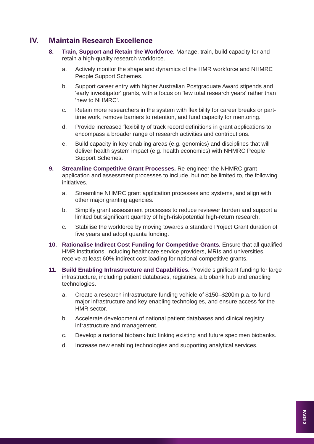### **IV. Maintain Research Excellence**

- **8. Train, Support and Retain the Workforce.** Manage, train, build capacity for and retain a high-quality research workforce.
	- a. Actively monitor the shape and dynamics of the HMR workforce and NHMRC People Support Schemes.
	- b. Support career entry with higher Australian Postgraduate Award stipends and 'early investigator' grants, with a focus on 'few total research years' rather than 'new to NHMRC'.
	- c. Retain more researchers in the system with flexibility for career breaks or parttime work, remove barriers to retention, and fund capacity for mentoring.
	- d. Provide increased flexibility of track record definitions in grant applications to encompass a broader range of research activities and contributions.
	- e. Build capacity in key enabling areas (e.g. genomics) and disciplines that will deliver health system impact (e.g. health economics) with NHMRC People Support Schemes.
- **9. Streamline Competitive Grant Processes.** Re-engineer the NHMRC grant application and assessment processes to include, but not be limited to, the following initiatives.
	- a. Streamline NHMRC grant application processes and systems, and align with other major granting agencies.
	- b. Simplify grant assessment processes to reduce reviewer burden and support a limited but significant quantity of high-risk/potential high-return research.
	- c. Stabilise the workforce by moving towards a standard Project Grant duration of five years and adopt quanta funding.
- **10. Rationalise Indirect Cost Funding for Competitive Grants. Ensure that all qualified** HMR institutions, including healthcare service providers, MRIs and universities, receive at least 60% indirect cost loading for national competitive grants.
- **11. Build Enabling Infrastructure and Capabilities.** Provide significant funding for large infrastructure, including patient databases, registries, a biobank hub and enabling technologies.
	- a. Create a research infrastructure funding vehicle of \$150–\$200m p.a. to fund major infrastructure and key enabling technologies, and ensure access for the HMR sector.
	- b. Accelerate development of national patient databases and clinical registry infrastructure and management.
	- c. Develop a national biobank hub linking existing and future specimen biobanks.
	- d. Increase new enabling technologies and supporting analytical services.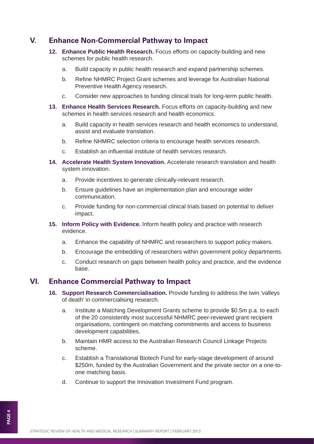### **V. Enhance Non-Commercial Pathway to Impact**

- **12. Enhance Public Health Research.** Focus efforts on capacity-building and new schemes for public health research.
	- a. Build capacity in public health research and expand partnership schemes.
	- b. Refine NHMRC Project Grant schemes and leverage for Australian National Preventive Health Agency research.
	- c. Consider new approaches to funding clinical trials for long-term public health.
- **13. Enhance Health Services Research.** Focus efforts on capacity-building and new schemes in health services research and health economics.
	- a. Build capacity in health services research and health economics to understand, assist and evaluate translation.
	- b. Refine NHMRC selection criteria to encourage health services research.
	- c. Establish an influential institute of health services research.
- **14. Accelerate Health System Innovation.** Accelerate research translation and health system innovation.
	- a. Provide incentives to generate clinically-relevant research.
	- b. Ensure guidelines have an implementation plan and encourage wider communication.
	- c. Provide funding for non-commercial clinical trials based on potential to deliver impact.
- **15. Inform Policy with Evidence.** Inform health policy and practice with research evidence.
	- a. Enhance the capability of NHMRC and researchers to support policy makers.
	- b. Encourage the embedding of researchers within government policy departments.
	- c. Conduct research on gaps between health policy and practice, and the evidence base.

### **VI. Enhance Commercial Pathway to Impact**

- **16. Support Research Commercialisation.** Provide funding to address the twin 'valleys of death' in commercialising research.
	- a. Institute a Matching Development Grants scheme to provide \$0.5m p.a. to each of the 20 consistently most successful NHMRC peer-reviewed grant recipient organisations, contingent on matching commitments and access to business development capabilities.
	- b. Maintain HMR access to the Australian Research Council Linkage Projects scheme.
	- c. Establish a Translational Biotech Fund for early-stage development of around \$250m, funded by the Australian Government and the private sector on a one-toone matching basis.
	- d. Continue to support the Innovation Investment Fund program.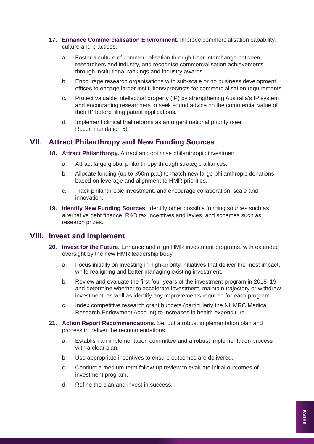- **17. Enhance Commercialisation Environment.** Improve commercialisation capability, culture and practices.
	- a. Foster a culture of commercialisation through freer interchange between researchers and industry, and recognise commercialisation achievements through institutional rankings and industry awards.
	- b. Encourage research organisations with sub-scale or no business development offices to engage larger institutions/precincts for commercialisation requirements.
	- c. Protect valuable intellectual property (IP) by strengthening Australia's IP system and encouraging researchers to seek sound advice on the commercial value of their IP before filing patent applications.
	- d. Implement clinical trial reforms as an urgent national priority (see Recommendation 5).

### **VII. Attract Philanthropy and New Funding Sources**

- **18. Attract Philanthropy.** Attract and optimise philanthropic investment.
	- a. Attract large global philanthropy through strategic alliances.
	- b. Allocate funding (up to \$50m p.a.) to match new large philanthropic donations based on leverage and alignment to HMR priorities.
	- c. Track philanthropic investment, and encourage collaboration, scale and innovation.
- **19. Identify New Funding Sources.** Identify other possible funding sources such as alternative debt finance, R&D tax incentives and levies, and schemes such as research prizes.

### **VIII. Invest and Implement**

- **20. Invest for the Future.** Enhance and align HMR investment programs, with extended oversight by the new HMR leadership body.
	- a. Focus initially on investing in high-priority initiatives that deliver the most impact, while realigning and better managing existing investment.
	- b. Review and evaluate the first four years of the investment program in 2018–19 and determine whether to accelerate investment, maintain trajectory or withdraw investment, as well as identify any improvements required for each program.
	- c. Index competitive research grant budgets (particularly the NHMRC Medical Research Endowment Account) to increases in health expenditure.
- **21. Action Report Recommendations.** Set out a robust implementation plan and process to deliver the recommendations.
	- a. Establish an implementation committee and a robust implementation process with a clear plan.
	- b. Use appropriate incentives to ensure outcomes are delivered.
	- c. Conduct a medium-term follow-up review to evaluate initial outcomes of investment program.
	- d. Refine the plan and invest in success.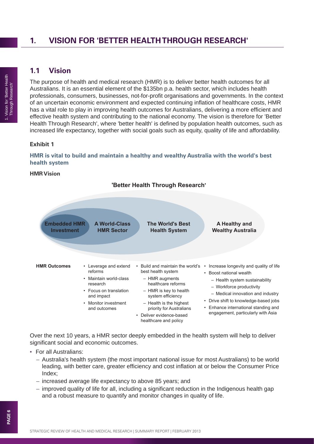### **1. VISION FOR 'BETTER HEALTH THROUGH RESEARCH'**

### **1.1 Vision**

The purpose of health and medical research (HMR) is to deliver better health outcomes for all Australians. It is an essential element of the \$135bn p.a. health sector, which includes health professionals, consumers, businesses, not-for-profi t organisations and governments. In the context of an uncertain economic environment and expected continuing inflation of healthcare costs, HMR has a vital role to play in improving health outcomes for Australians, delivering a more efficient and effective health system and contributing to the national economy. The vision is therefore for 'Better Health Through Research', where 'better health' is defined by population health outcomes, such as increased life expectancy, together with social goals such as equity, quality of life and affordability.

#### **Exhibit 1**

#### **HMR is vital to build and maintain a healthy and wealthy Australia with the world's best health system**

#### **HMR Vision**

#### **'Better Health Through Research'**



Over the next 10 years, a HMR sector deeply embedded in the health system will help to deliver significant social and economic outcomes.

- For all Australians:
	- Australia's health system (the most important national issue for most Australians) to be world leading, with better care, greater efficiency and cost inflation at or below the Consumer Price Index;
	- increased average life expectancy to above 85 years; and
	- $-$  improved quality of life for all, including a significant reduction in the Indigenous health gap and a robust measure to quantify and monitor changes in quality of life.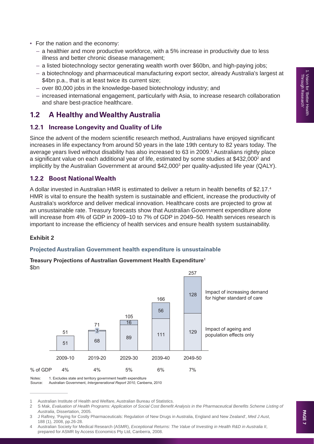- For the nation and the economy:
	- a healthier and more productive workforce, with a 5% increase in productivity due to less illness and better chronic disease management;
	- a listed biotechnology sector generating wealth worth over \$60bn, and high-paying jobs;
	- a biotechnology and pharmaceutical manufacturing export sector, already Australia's largest at \$4bn p.a., that is at least twice its current size;
	- over 80,000 jobs in the knowledge-based biotechnology industry; and
	- increased international engagement, particularly with Asia, to increase research collaboration and share best-practice healthcare.

### **1.2 A Healthy and Wealthy Australia**

### **1.2.1 Increase Longevity and Quality of Life**

Since the advent of the modern scientific research method. Australians have enjoyed significant increases in life expectancy from around 50 years in the late 19th century to 82 years today. The average years lived without disability has also increased to 63 in 2009.<sup>1</sup> Australians rightly place a significant value on each additional year of life, estimated by some studies at \$432,000<sup>2</sup> and implicitly by the Australian Government at around \$42,000<sup>3</sup> per quality-adjusted life year (QALY).

### **1.2.2 Boost National Wealth**

A dollar invested in Australian HMR is estimated to deliver a return in health benefits of \$2.17.4 HMR is vital to ensure the health system is sustainable and efficient, increase the productivity of Australia's workforce and deliver medical innovation. Healthcare costs are projected to grow at an unsustainable rate. Treasury forecasts show that Australian Government expenditure alone will increase from 4% of GDP in 2009–10 to 7% of GDP in 2049–50. Health services research is important to increase the efficiency of health services and ensure health system sustainability.

### **Exhibit 2**

#### **Projected Australian Government health expenditure is unsustainable**



**Treasury Projections of Australian Government Health Expenditure1** \$bn

Source: Australian Government, *Intergenerational Report 2010,* Canberra, 2010

<sup>1</sup> Australian Institute of Health and Welfare, Australian Bureau of Statistics.

<sup>2</sup> S Mak, *Evaluation of Health Programs: Application of Social Cost Benefi t Analysis in the Pharmaceutical Benefi ts Scheme Listing of Australia*, Dissertation, 2005.

<sup>3</sup> J Raftrey, 'Paying for Costly Pharmaceuticals: Regulation of New Drugs in Australia, England and New Zealand', *Med J Aust*, 188 (1), 2008, pp.26-28.

<sup>4</sup> Australian Society for Medical Research (ASMR), *Exceptional Returns: The Value of Investing in Health R&D in Australia II*, prepared for ASMR by Access Economics Pty Ltd, Canberra, 2008.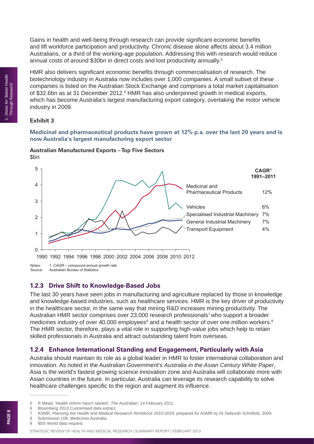Gains in health and well-being through research can provide significant economic benefits and lift workforce participation and productivity. Chronic disease alone affects about 3.4 million Australians, or a third of the working-age population. Addressing this with research would reduce annual costs of around \$30bn in direct costs and lost productivity annually.5

HMR also delivers significant economic benefits through commercialisation of research. The biotechnology industry in Australia now includes over 1,000 companies. A small subset of these companies is listed on the Australian Stock Exchange and comprises a total market capitalisation of \$32.6bn as at 31 December 2012.<sup>6</sup> HMR has also underpinned growth in medical exports, which has become Australia's largest manufacturing export category, overtaking the motor vehicle industry in 2009.

### **Exhibit 3**

### **Medicinal and pharmaceutical products have grown at 12% p.a. over the last 20 years and is now Australia's largest manufacturing export sector**

**Australian Manufactured Exports – Top Five Sectors** \$bn



### **1.2.3 Drive Shift to Knowledge-Based Jobs**

The last 30 years have seen jobs in manufacturing and agriculture replaced by those in knowledge and knowledge-based industries, such as healthcare services. HMR is the key driver of productivity in the healthcare sector, in the same way that mining R&D increases mining productivity. The Australian HMR sector comprises over 23,000 research professionals<sup>7</sup> who support a broader medicines industry of over 40,000 employees<sup>8</sup> and a health sector of over one million workers.<sup>9</sup> The HMR sector, therefore, plays a vital role in supporting high-value jobs which help to retain skilled professionals in Australia and attract outstanding talent from overseas.

### **1.2.4 Enhance International Standing and Engagement, Particularly with Asia**

Australia should maintain its role as a global leader in HMR to foster international collaboration and innovation. As noted in the Australian Government's *Australia in the Asian Century White Paper*, Asia is the world's fastest growing science innovation zone and Australia will collaborate more with Asian countries in the future. In particular, Australia can leverage its research capability to solve healthcare challenges specific to the region and augment its influence.

8 BDAG

<sup>5</sup> R Mead, 'Health reform hasn't started', *The Australian*, 14 February 2011.

<sup>6</sup> Bloomberg 2013 Customised data extract.

<sup>7</sup> ASMR, Planning the Health and Medical Research Workforce 2010-2019, prepared for ASMR by Dr Deborah Schofield, 2009.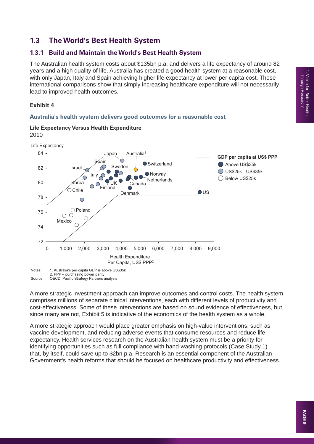### **1.3 The World's Best Health System**

### **1.3.1 Build and Maintain the World's Best Health System**

The Australian health system costs about \$135bn p.a. and delivers a life expectancy of around 82 years and a high quality of life. Australia has created a good health system at a reasonable cost, with only Japan, Italy and Spain achieving higher life expectancy at lower per capita cost. These international comparisons show that simply increasing healthcare expenditure will not necessarily lead to improved health outcomes.

### **Exhibit 4**

### **Australia's health system delivers good outcomes for a reasonable cost**

Life Expectancy 84 Japan Australia1 **GDP per capita at US\$ PPP**  $\sqrt{}$ Spain **Switzerland** Above US\$35k Sweden  $\overline{C}$ 82 Israel Ō US\$25k - US\$35k **O** Norway Italy  $\varphi$ Ő ◯ Below US\$25k **Netherlands** 80 Korea UK Canada  $\bigcap$ Finland O Chile Finianu Denmark **O**US 78 ◯  $O$  Poland 76  $\circ$   $\circ$ Mexico Ō 74 72 0 1,000 2,000 3,000 4,000 5,000 6,000 7,000 8,000 9,000 Health Expenditure Per Capita, US\$ PPP2 Notes: 1. Australia's per capita GDP is above US\$35k 2. PPP – purchasing power parity Source: OECD, Pacific Strategy Partners analysis

**Life Expectancy Versus Health Expenditure** 2010

A more strategic investment approach can improve outcomes and control costs. The health system comprises millions of separate clinical interventions, each with different levels of productivity and cost-effectiveness. Some of these interventions are based on sound evidence of effectiveness, but since many are not, Exhibit 5 is indicative of the economics of the health system as a whole.

A more strategic approach would place greater emphasis on high-value interventions, such as vaccine development, and reducing adverse events that consume resources and reduce life expectancy. Health services research on the Australian health system must be a priority for identifying opportunities such as full compliance with hand-washing protocols (Case Study 1) that, by itself, could save up to \$2bn p.a. Research is an essential component of the Australian Government's health reforms that should be focused on healthcare productivity and effectiveness.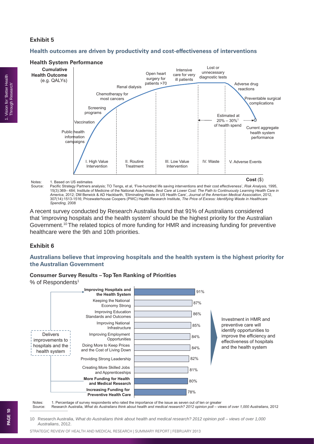### **Exhibit 5**

#### **Health outcomes are driven by productivity and cost-effectiveness of interventions**



Notes: 1. Based on US estimates<br>Source: Pacific Strategy Partners a

**Cost** (\$)

Pacific Strategy Partners analysis; TO Tengs, et al, 'Five-hundred life saving interventions and their cost effectiveness', Risk Analysis, 1995, 15(3):369– 484; Institute of Medicine of the National Academies, *Best Care at Lower Cost: The Path to Continuously Learning Health Care in America*, 2012; DM Berwick & AD Hackbarth, 'Eliminating Waste in US Health Care', *Journal of the American Medical Association*, 2012, 307(14):1513-1516; Pricewaterhouse Coopers (PWC) Health Research Institute, *The Price of Excess: Identifying Waste in Healthcare Spending,* 2008

A recent survey conducted by Research Australia found that 91% of Australians considered that 'improving hospitals and the health system' should be the highest priority for the Australian Government.<sup>10</sup> The related topics of more funding for HMR and increasing funding for preventive healthcare were the 9th and 10th priorities.

### **Exhibit 6**

### **Australians believe that improving hospitals and the health system is the highest priority for the Australian Government**

### **Consumer Survey Results – Top Ten Ranking of Priorities**

% of Respondents<sup>1</sup>



Notes: 1. Percentage of survey respondents who rated the importance of the issue as seven out of ten or greater<br>Source: Research Australia, What do Australians think about health and medical research? 2012 opinion poll – v Research Australia, What do Australians think about health and medical research? 2012 opinion poll – views of over 1,000 Australians, 2012

10 Research Australia, *What do Australians think about health and medical research? 2012 opinion poll – views of over 1,000 Australians*, 2012.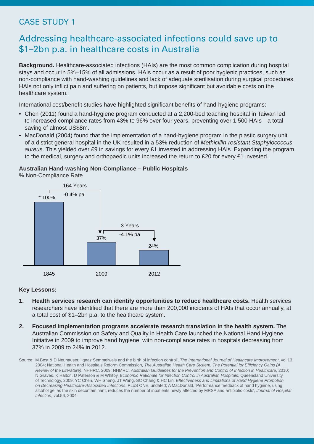### CASE STUDY 1

### Addressing healthcare-associated infections could save up to \$1–2bn p.a. in healthcare costs in Australia

**Background.** Healthcare-associated infections (HAIs) are the most common complication during hospital stays and occur in 5%–15% of all admissions. HAIs occur as a result of poor hygienic practices, such as non-compliance with hand-washing guidelines and lack of adequate sterilisation during surgical procedures. HAIs not only inflict pain and suffering on patients, but impose significant but avoidable costs on the healthcare system.

International cost/benefit studies have highlighted significant benefits of hand-hygiene programs:

- Chen (2011) found a hand-hygiene program conducted at a 2,200-bed teaching hospital in Taiwan led to increased compliance rates from 43% to 96% over four years, preventing over 1,500 HAIs—a total saving of almost US\$8m.
- MacDonald (2004) found that the implementation of a hand-hygiene program in the plastic surgery unit of a district general hospital in the UK resulted in a 53% reduction of *Methicillin-resistant Staphylococcus aureus*. This yielded over £9 in savings for every £1 invested in addressing HAIs. Expanding the program to the medical, surgery and orthopaedic units increased the return to £20 for every £1 invested.

### **Australian Hand-washing Non-Compliance – Public Hospitals**

% Non-Compliance Rate



#### **Key Lessons:**

- **1. Health services research can identify opportunities to reduce healthcare costs.** Health services researchers have identified that there are more than 200,000 incidents of HAIs that occur annually, at a total cost of \$1–2bn p.a. to the healthcare system.
- **2. Focused implementation programs accelerate research translation in the health system.** The Australian Commission on Safety and Quality in Health Care launched the National Hand Hygiene Initiative in 2009 to improve hand hygiene, with non-compliance rates in hospitals decreasing from 37% in 2009 to 24% in 2012.

Source: M Best & D Neuhauser, 'Ignaz Semmelweis and the birth of infection control', *The International Journal of Healthcare Improvement*, vol.13, 2004; National Health and Hospitals Reform Commission, *The Australian Health Care System: The Potential for Effi ciency Gains (A Review of the Literature)*, NHHRC, 2009; NHMRC, *Australian Guidelines for the Prevention and Control of Infection in Healthcare*, 2010; N Graves, K Halton, D Paterson & M Whitby, *Economic Rationale for Infection Control in Australian Hospitals*, Queensland University of Technology, 2009; YC Chen, WH Sheng, JT Wang, SC Chang & HC Lin, *Effectiveness and Limitations of Hand Hygiene Promotion on Decreasing Healthcare-Associated Infections*, PLoS ONE, undated; A MacDonald, 'Performance feedback of hand hygiene, using alcohol gel as the skin decontaminant, reduces the number of inpatients newly affected by MRSA and antibiotic costs', *Journal of Hospital Infection*, vol.56, 2004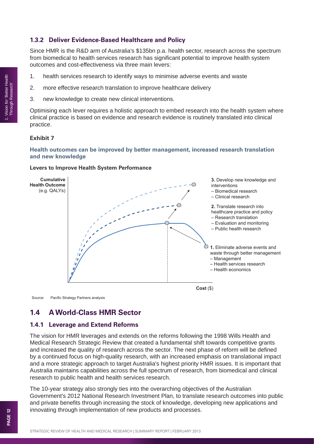### **1.3.2 Deliver Evidence-Based Healthcare and Policy**

Since HMR is the R&D arm of Australia's \$135bn p.a. health sector, research across the spectrum from biomedical to health services research has significant potential to improve health system outcomes and cost-effectiveness via three main levers:

- 1. health services research to identify ways to minimise adverse events and waste
- 2. more effective research translation to improve healthcare delivery
- 3. new knowledge to create new clinical interventions.

Optimising each lever requires a holistic approach to embed research into the health system where clinical practice is based on evidence and research evidence is routinely translated into clinical practice.

#### **Exhibit 7**

#### **Health outcomes can be improved by better management, increased research translation and new knowledge**

#### **Levers to Improve Health System Performance**



Source: Pacific Strategy Partners analysis

### **1.4 A World-Class HMR Sector**

### **1.4.1 Leverage and Extend Reforms**

The vision for HMR leverages and extends on the reforms following the 1998 Wills Health and Medical Research Strategic Review that created a fundamental shift towards competitive grants and increased the quality of research across the sector. The next phase of reform will be defined by a continued focus on high-quality research, with an increased emphasis on translational impact and a more strategic approach to target Australia's highest priority HMR issues. It is important that Australia maintains capabilities across the full spectrum of research, from biomedical and clinical research to public health and health services research.

The 10-year strategy also strongly ties into the overarching objectives of the Australian Government's 2012 National Research Investment Plan, to translate research outcomes into public and private benefits through increasing the stock of knowledge, developing new applications and innovating through implementation of new products and processes.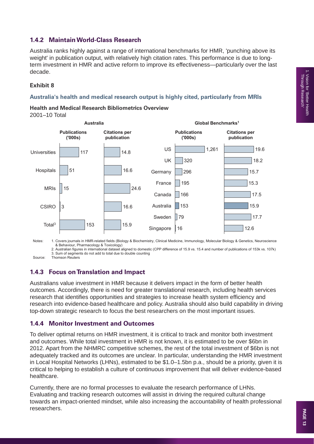Australia ranks highly against a range of international benchmarks for HMR, 'punching above its weight' in publication output, with relatively high citation rates. This performance is due to longterm investment in HMR and active reform to improve its effectiveness—particularly over the last decade.

### **Exhibit 8**

### **Australia's health and medical research output is highly cited, particularly from MRIs**

### **Health and Medical Research Bibliometrics Overview**

2001–10 Total



Notes: 1. Covers journals in HMR-related fields (Biology & Biochemistry, Clinical Medicine, Immunology, Molecular Biology & Genetics, Neuroscience & Behaviour, Pharmacology & Toxicology)

2. Australian figures in international dataset aligned to domestic (CPP difference of 15.9 vs. 15.4 and number of publications of 153k vs. 107k) 3. Sum of segments do not add to total due to double counting

Source: Thomson Reuters

### **1.4.3 Focus on Translation and Impact**

Australians value investment in HMR because it delivers impact in the form of better health outcomes. Accordingly, there is need for greater translational research, including health services research that identifies opportunities and strategies to increase health system efficiency and research into evidence-based healthcare and policy. Australia should also build capability in driving top-down strategic research to focus the best researchers on the most important issues.

### **1.4.4 Monitor Investment and Outcomes**

To deliver optimal returns on HMR investment, it is critical to track and monitor both investment and outcomes. While total investment in HMR is not known, it is estimated to be over \$6bn in 2012. Apart from the NHMRC competitive schemes, the rest of the total investment of \$6bn is not adequately tracked and its outcomes are unclear. In particular, understanding the HMR investment in Local Hospital Networks (LHNs), estimated to be \$1.0–1.5bn p.a., should be a priority, given it is critical to helping to establish a culture of continuous improvement that will deliver evidence-based healthcare.

Currently, there are no formal processes to evaluate the research performance of LHNs. Evaluating and tracking research outcomes will assist in driving the required cultural change towards an impact-oriented mindset, while also increasing the accountability of health professional researchers.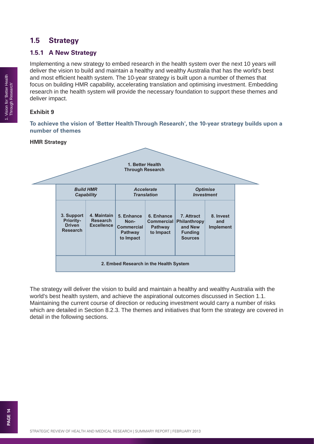### **1.5 Strategy**

### **1.5.1 A New Strategy**

Implementing a new strategy to embed research in the health system over the next 10 years will deliver the vision to build and maintain a healthy and wealthy Australia that has the world's best and most efficient health system. The 10-year strategy is built upon a number of themes that focus on building HMR capability, accelerating translation and optimising investment. Embedding research in the health system will provide the necessary foundation to support these themes and deliver impact.

### **Exhibit 9**

**To achieve the vision of 'Better Health Through Research', the 10-year strategy builds upon a number of themes**

### **HMR Strategy**



The strategy will deliver the vision to build and maintain a healthy and wealthy Australia with the world's best health system, and achieve the aspirational outcomes discussed in Section 1.1. Maintaining the current course of direction or reducing investment would carry a number of risks which are detailed in Section 8.2.3. The themes and initiatives that form the strategy are covered in detail in the following sections.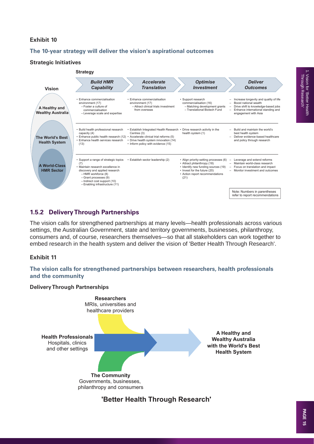### **Exhibit 10**

### **The 10-year strategy will deliver the vision's aspirational outcomes**

### **Strategic Initiatives**



### **1.5.2 Delivery Through Partnerships**

The vision calls for strengthened partnerships at many levels—health professionals across various settings, the Australian Government, state and territory governments, businesses, philanthropy, consumers and, of course, researchers themselves—so that all stakeholders can work together to embed research in the health system and deliver the vision of 'Better Health Through Research'.

### **Exhibit 11**

**The vision calls for strengthened partnerships between researchers, health professionals and the community**

#### **Delivery Through Partnerships**



**'Better Health Through Research'**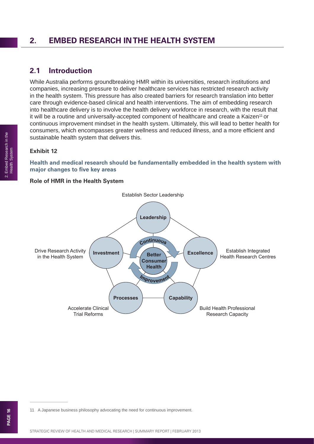### **2. EMBED RESEARCH IN THE HEALTH SYSTEM**

### **2.1 Introduction**

While Australia performs groundbreaking HMR within its universities, research institutions and companies, increasing pressure to deliver healthcare services has restricted research activity in the health system. This pressure has also created barriers for research translation into better care through evidence-based clinical and health interventions. The aim of embedding research into healthcare delivery is to involve the health delivery workforce in research, with the result that it will be a routine and universally-accepted component of healthcare and create a Kaizen<sup>11</sup> or continuous improvement mindset in the health system. Ultimately, this will lead to better health for consumers, which encompasses greater wellness and reduced illness, and a more efficient and sustainable health system that delivers this.

### **Exhibit 12**

**Health and medical research should be fundamentally embedded in the health system with major changes to five key areas** 

#### **Role of HMR in the Health System**

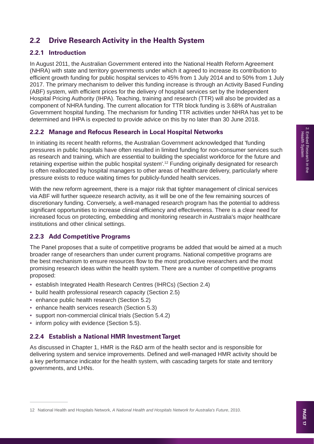### **2.2 Drive Research Activity in the Health System**

### **2.2.1 Introduction**

In August 2011, the Australian Government entered into the National Health Reform Agreement (NHRA) with state and territory governments under which it agreed to increase its contribution to efficient growth funding for public hospital services to 45% from 1 July 2014 and to 50% from 1 July 2017. The primary mechanism to deliver this funding increase is through an Activity Based Funding (ABF) system, with efficient prices for the delivery of hospital services set by the Independent Hospital Pricing Authority (IHPA). Teaching, training and research (TTR) will also be provided as a component of NHRA funding. The current allocation for TTR block funding is 3.68% of Australian Government hospital funding. The mechanism for funding TTR activities under NHRA has yet to be determined and IHPA is expected to provide advice on this by no later than 30 June 2018.

### **2.2.2 Manage and Refocus Research in Local Hospital Networks**

In initiating its recent health reforms, the Australian Government acknowledged that 'funding pressures in public hospitals have often resulted in limited funding for non-consumer services such as research and training, which are essential to building the specialist workforce for the future and retaining expertise within the public hospital system'.12 Funding originally designated for research is often reallocated by hospital managers to other areas of healthcare delivery, particularly where pressure exists to reduce waiting times for publicly-funded health services.

With the new reform agreement, there is a major risk that tighter management of clinical services via ABF will further squeeze research activity, as it will be one of the few remaining sources of discretionary funding. Conversely, a well-managed research program has the potential to address significant opportunities to increase clinical efficiency and effectiveness. There is a clear need for increased focus on protecting, embedding and monitoring research in Australia's major healthcare institutions and other clinical settings.

### **2.2.3 Add Competitive Programs**

The Panel proposes that a suite of competitive programs be added that would be aimed at a much broader range of researchers than under current programs. National competitive programs are the best mechanism to ensure resources flow to the most productive researchers and the most promising research ideas within the health system. There are a number of competitive programs proposed:

- establish Integrated Health Research Centres (IHRCs) (Section 2.4)
- build health professional research capacity (Section 2.5)
- enhance public health research (Section 5.2)
- enhance health services research (Section 5.3)
- support non-commercial clinical trials (Section 5.4.2)
- inform policy with evidence (Section 5.5).

### **2.2.4 Establish a National HMR Investment Target**

As discussed in Chapter 1, HMR is the R&D arm of the health sector and is responsible for delivering system and service improvements. Defined and well-managed HMR activity should be a key performance indicator for the health system, with cascading targets for state and territory governments, and LHNs.

<sup>12</sup> National Health and Hospitals Network, *A National Health and Hospitals Network for Australia's Future*, 2010.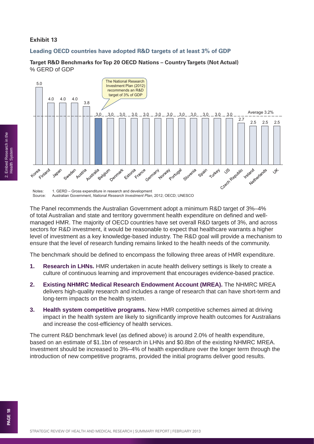### **Exhibit 13**

### **Leading OECD countries have adopted R&D targets of at least 3% of GDP**

**Target R&D Benchmarks for Top 20 OECD Nations – Country Targets (Not Actual)** % GERD of GDP



The Panel recommends the Australian Government adopt a minimum R&D target of 3%–4% of total Australian and state and territory government health expenditure on defined and wellmanaged HMR. The majority of OECD countries have set overall R&D targets of 3%, and across sectors for R&D investment, it would be reasonable to expect that healthcare warrants a higher level of investment as a key knowledge-based industry. The R&D goal will provide a mechanism to ensure that the level of research funding remains linked to the health needs of the community.

The benchmark should be defined to encompass the following three areas of HMR expenditure.

- **1. Research in LHNs.** HMR undertaken in acute health delivery settings is likely to create a culture of continuous learning and improvement that encourages evidence-based practice.
- **2. Existing NHMRC Medical Research Endowment Account (MREA).** The NHMRC MREA delivers high-quality research and includes a range of research that can have short-term and long-term impacts on the health system.
- **3. Health system competitive programs.** New HMR competitive schemes aimed at driving impact in the health system are likely to significantly improve health outcomes for Australians and increase the cost-efficiency of health services.

The current R&D benchmark level (as defined above) is around 2.0% of health expenditure, based on an estimate of \$1.1bn of research in LHNs and \$0.8bn of the existing NHMRC MREA. Investment should be increased to 3%–4% of health expenditure over the longer term through the introduction of new competitive programs, provided the initial programs deliver good results.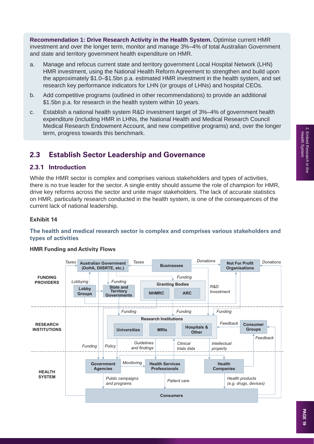**Recommendation 1: Drive Research Activity in the Health System.** Optimise current HMR investment and over the longer term, monitor and manage 3%–4% of total Australian Government and state and territory government health expenditure on HMR.

- a. Manage and refocus current state and territory government Local Hospital Network (LHN) HMR investment, using the National Health Reform Agreement to strengthen and build upon the approximately \$1.0–\$1.5bn p.a. estimated HMR investment in the health system, and set research key performance indicators for LHN (or groups of LHNs) and hospital CEOs.
- b. Add competitive programs (outlined in other recommendations) to provide an additional \$1.5bn p.a. for research in the health system within 10 years.
- c. Establish a national health system R&D investment target of 3%–4% of government health expenditure (including HMR in LHNs, the National Health and Medical Research Council Medical Research Endowment Account, and new competitive programs) and, over the longer term, progress towards this benchmark.

### **2.3 Establish Sector Leadership and Governance**

### **2.3.1 Introduction**

While the HMR sector is complex and comprises various stakeholders and types of activities, there is no true leader for the sector. A single entity should assume the role of champion for HMR, drive key reforms across the sector and unite major stakeholders. The lack of accurate statistics on HMR, particularly research conducted in the health system, is one of the consequences of the current lack of national leadership.

### **Exhibit 14**

#### **The health and medical research sector is complex and comprises various stakeholders and types of activities**

#### **HMR Funding and Activity Flows**

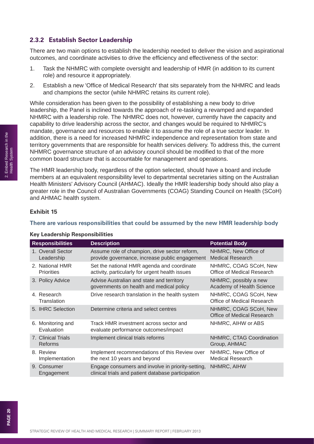### **2.3.2 Establish Sector Leadership**

There are two main options to establish the leadership needed to deliver the vision and aspirational outcomes, and coordinate activities to drive the efficiency and effectiveness of the sector:

- 1. Task the NHMRC with complete oversight and leadership of HMR (in addition to its current role) and resource it appropriately.
- 2. Establish a new 'Office of Medical Research' that sits separately from the NHMRC and leads and champions the sector (while NHMRC retains its current role).

While consideration has been given to the possibility of establishing a new body to drive leadership, the Panel is inclined towards the approach of re-tasking a revamped and expanded NHMRC with a leadership role. The NHMRC does not, however, currently have the capacity and capability to drive leadership across the sector, and changes would be required to NHMRC's mandate, governance and resources to enable it to assume the role of a true sector leader. In addition, there is a need for increased NHMRC independence and representation from state and territory governments that are responsible for health services delivery. To address this, the current NHMRC governance structure of an advisory council should be modified to that of the more common board structure that is accountable for management and operations.

The HMR leadership body, regardless of the option selected, should have a board and include members at an equivalent responsibility level to departmental secretaries sitting on the Australian Health Ministers' Advisory Council (AHMAC). Ideally the HMR leadership body should also play a greater role in the Council of Australian Governments (COAG) Standing Council on Health (SCoH) and AHMAC health system.

### **Exhibit 15**

### **There are various responsibilities that could be assumed by the new HMR leadership body**

| <b>Responsibilities</b>              | <b>Description</b>                                                                                      | <b>Potential Body</b>                               |
|--------------------------------------|---------------------------------------------------------------------------------------------------------|-----------------------------------------------------|
| 1. Overall Sector<br>Leadership      | Assume role of champion, drive sector reform,<br>provide governance, increase public engagement         | NHMRC, New Office of<br><b>Medical Research</b>     |
| 2. National HMR<br><b>Priorities</b> | Set the national HMR agenda and coordinate<br>activity, particularly for urgent health issues           | NHMRC, COAG SCoH, New<br>Office of Medical Research |
| 3. Policy Advice                     | Advise Australian and state and territory<br>governments on health and medical policy                   | NHMRC, possibly a new<br>Academy of Health Science  |
| 4. Research<br>Translation           | Drive research translation in the health system                                                         | NHMRC, COAG SCoH, New<br>Office of Medical Research |
| 5. IHRC Selection                    | Determine criteria and select centres                                                                   | NHMRC, COAG SCoH, New<br>Office of Medical Research |
| 6. Monitoring and<br>Evaluation      | Track HMR investment across sector and<br>evaluate performance outcomes/impact                          | NHMRC, AIHW or ABS                                  |
| 7. Clinical Trials<br>Reforms        | Implement clinical trials reforms                                                                       | <b>NHMRC, CTAG Coordination</b><br>Group, AHMAC     |
| 8. Review<br>Implementation          | Implement recommendations of this Review over<br>the next 10 years and beyond                           | NHMRC, New Office of<br><b>Medical Research</b>     |
| 9. Consumer<br>Engagement            | Engage consumers and involve in priority-setting,<br>clinical trials and patient database participation | NHMRC, AIHW                                         |

### **Key Leadership Responsibilities**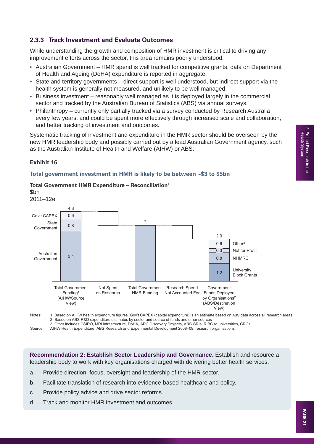### **2.3.3 Track Investment and Evaluate Outcomes**

While understanding the growth and composition of HMR investment is critical to driving any improvement efforts across the sector, this area remains poorly understood.

- Australian Government HMR spend is well tracked for competitive grants, data on Department of Health and Ageing (DoHA) expenditure is reported in aggregate.
- State and territory governments direct support is well understood, but indirect support via the health system is generally not measured, and unlikely to be well managed.
- Business investment reasonably well managed as it is deployed largely in the commercial sector and tracked by the Australian Bureau of Statistics (ABS) via annual surveys.
- Philanthropy currently only partially tracked via a survey conducted by Research Australia every few years, and could be spent more effectively through increased scale and collaboration, and better tracking of investment and outcomes.

Systematic tracking of investment and expenditure in the HMR sector should be overseen by the new HMR leadership body and possibly carried out by a lead Australian Government agency, such as the Australian Institute of Health and Welfare (AIHW) or ABS.

### **Exhibit 16**

#### **Total government investment in HMR is likely to be between ~\$3 to \$5bn**



#### **Total Government HMR Expenditure – Reconciliation1**

2. Based on ABS R&D expenditure estimates by sector and source of funds and other sources 3. Other includes CSIRO, MRI infrastructure, DoHA, ARC Discovery Projects, ARC SRIs, RIBG to universities, CRCs

Source: AIHW Health Expenditure; ABS Research and Experimental Development 2008–09; research organisations

**Recommendation 2: Establish Sector Leadership and Governance.** Establish and resource a leadership body to work with key organisations charged with delivering better health services.

- a. Provide direction, focus, oversight and leadership of the HMR sector.
- b. Facilitate translation of research into evidence-based healthcare and policy.
- c. Provide policy advice and drive sector reforms.
- d. Track and monitor HMR investment and outcomes.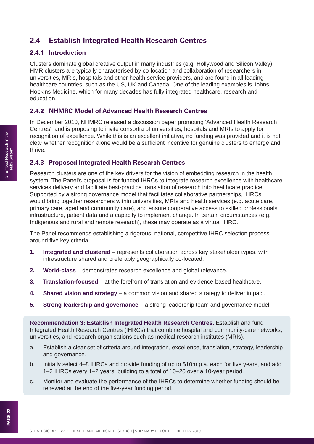### **2.4 Establish Integrated Health Research Centres**

### **2.4.1 Introduction**

Clusters dominate global creative output in many industries (e.g. Hollywood and Silicon Valley). HMR clusters are typically characterised by co-location and collaboration of researchers in universities, MRIs, hospitals and other health service providers, and are found in all leading healthcare countries, such as the US, UK and Canada. One of the leading examples is Johns Hopkins Medicine, which for many decades has fully integrated healthcare, research and education.

### **2.4.2 NHMRC Model of Advanced Health Research Centres**

In December 2010, NHMRC released a discussion paper promoting 'Advanced Health Research Centres', and is proposing to invite consortia of universities, hospitals and MRIs to apply for recognition of excellence. While this is an excellent initiative, no funding was provided and it is not clear whether recognition alone would be a sufficient incentive for genuine clusters to emerge and thrive.

### **2.4.3 Proposed Integrated Health Research Centres**

Research clusters are one of the key drivers for the vision of embedding research in the health system. The Panel's proposal is for funded IHRCs to integrate research excellence with healthcare services delivery and facilitate best-practice translation of research into healthcare practice. Supported by a strong governance model that facilitates collaborative partnerships, IHRCs would bring together researchers within universities, MRIs and health services (e.g. acute care, primary care, aged and community care), and ensure cooperative access to skilled professionals, infrastructure, patient data and a capacity to implement change. In certain circumstances (e.g. Indigenous and rural and remote research), these may operate as a virtual IHRC.

The Panel recommends establishing a rigorous, national, competitive IHRC selection process around five key criteria.

- **1. Integrated and clustered** represents collaboration across key stakeholder types, with infrastructure shared and preferably geographically co-located.
- **2. World-class** demonstrates research excellence and global relevance.
- **3. Translation-focused** at the forefront of translation and evidence-based healthcare.
- **4. Shared vision and strategy**  a common vision and shared strategy to deliver impact.
- **5. Strong leadership and governance** a strong leadership team and governance model.

**Recommendation 3: Establish Integrated Health Research Centres.** Establish and fund Integrated Health Research Centres (IHRCs) that combine hospital and community-care networks, universities, and research organisations such as medical research institutes (MRIs).

- a. Establish a clear set of criteria around integration, excellence, translation, strategy, leadership and governance.
- b. Initially select 4–8 IHRCs and provide funding of up to \$10m p.a. each for five years, and add 1–2 IHRCs every 1–2 years, building to a total of 10–20 over a 10-year period.
- c. Monitor and evaluate the performance of the IHRCs to determine whether funding should be renewed at the end of the five-year funding period.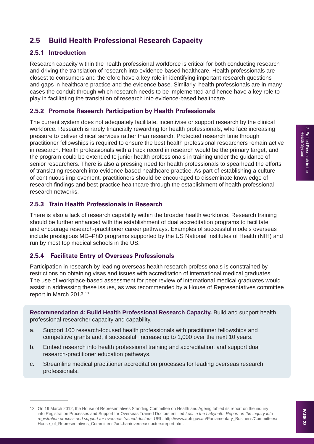### **2.5 Build Health Professional Research Capacity**

### **2.5.1 Introduction**

Research capacity within the health professional workforce is critical for both conducting research and driving the translation of research into evidence-based healthcare. Health professionals are closest to consumers and therefore have a key role in identifying important research questions and gaps in healthcare practice and the evidence base. Similarly, health professionals are in many cases the conduit through which research needs to be implemented and hence have a key role to play in facilitating the translation of research into evidence-based healthcare.

### **2.5.2 Promote Research Participation by Health Professionals**

The current system does not adequately facilitate, incentivise or support research by the clinical workforce. Research is rarely financially rewarding for health professionals, who face increasing pressure to deliver clinical services rather than research. Protected research time through practitioner fellowships is required to ensure the best health professional researchers remain active in research. Health professionals with a track record in research would be the primary target, and the program could be extended to junior health professionals in training under the guidance of senior researchers. There is also a pressing need for health professionals to spearhead the efforts of translating research into evidence-based healthcare practice. As part of establishing a culture of continuous improvement, practitioners should be encouraged to disseminate knowledge of research findings and best-practice healthcare through the establishment of health professional research networks.

### **2.5.3 Train Health Professionals in Research**

There is also a lack of research capability within the broader health workforce. Research training should be further enhanced with the establishment of dual accreditation programs to facilitate and encourage research-practitioner career pathways. Examples of successful models overseas include prestigious MD–PhD programs supported by the US National Institutes of Health (NIH) and run by most top medical schools in the US.

### **2.5.4 Facilitate Entry of Overseas Professionals**

Participation in research by leading overseas health research professionals is constrained by restrictions on obtaining visas and issues with accreditation of international medical graduates. The use of workplace-based assessment for peer review of international medical graduates would assist in addressing these issues, as was recommended by a House of Representatives committee report in March 2012.13

**Recommendation 4: Build Health Professional Research Capacity.** Build and support health professional researcher capacity and capability.

- a. Support 100 research-focused health professionals with practitioner fellowships and competitive grants and, if successful, increase up to 1,000 over the next 10 years.
- b. Embed research into health professional training and accreditation, and support dual research-practitioner education pathways.
- c. Streamline medical practitioner accreditation processes for leading overseas research professionals.

<sup>13</sup> On 19 March 2012, the House of Representatives Standing Committee on Health and Ageing tabled its report on the inquiry into Registration Processes and Support for Overseas Trained Doctors entitled *Lost in the Labyrinth: Report on the inquiry into registration process and support for overseas trained doctors.* URL: http://www.aph.gov.au/Parliamentary\_Business/Committees/ House\_of\_Representatives\_Committees?url=haa/overseasdoctors/report.htm.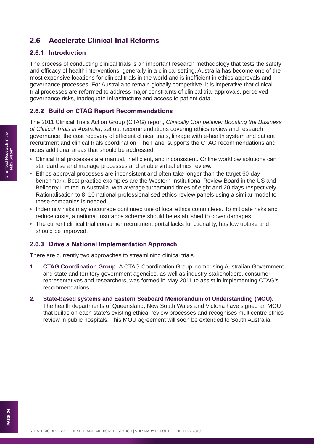### **2.6 Accelerate Clinical Trial Reforms**

### **2.6.1 Introduction**

The process of conducting clinical trials is an important research methodology that tests the safety and efficacy of health interventions, generally in a clinical setting. Australia has become one of the most expensive locations for clinical trials in the world and is inefficient in ethics approvals and governance processes. For Australia to remain globally competitive, it is imperative that clinical trial processes are reformed to address major constraints of clinical trial approvals, perceived governance risks, inadequate infrastructure and access to patient data.

### **2.6.2 Build on CTAG Report Recommendations**

The 2011 Clinical Trials Action Group (CTAG) report, *Clinically Competitive: Boosting the Business of Clinical Trials in Australia*, set out recommendations covering ethics review and research governance, the cost recovery of efficient clinical trials, linkage with e-health system and patient recruitment and clinical trials coordination. The Panel supports the CTAG recommendations and notes additional areas that should be addressed.

- Clinical trial processes are manual, inefficient, and inconsistent. Online workflow solutions can standardise and manage processes and enable virtual ethics review.
- Ethics approval processes are inconsistent and often take longer than the target 60-day benchmark. Best-practice examples are the Western Institutional Review Board in the US and Bellberry Limited in Australia, with average turnaround times of eight and 20 days respectively. Rationalisation to 8–10 national professionalised ethics review panels using a similar model to these companies is needed.
- Indemnity risks may encourage continued use of local ethics committees. To mitigate risks and reduce costs, a national insurance scheme should be established to cover damages.
- The current clinical trial consumer recruitment portal lacks functionality, has low uptake and should be improved.

### **2.6.3 Drive a National Implementation Approach**

There are currently two approaches to streamlining clinical trials.

- **1. CTAG Coordination Group.** A CTAG Coordination Group, comprising Australian Government and state and territory government agencies, as well as industry stakeholders, consumer representatives and researchers, was formed in May 2011 to assist in implementing CTAG's recommendations.
- **2. State-based systems and Eastern Seaboard Memorandum of Understanding (MOU).**  The health departments of Queensland, New South Wales and Victoria have signed an MOU that builds on each state's existing ethical review processes and recognises multicentre ethics review in public hospitals. This MOU agreement will soon be extended to South Australia.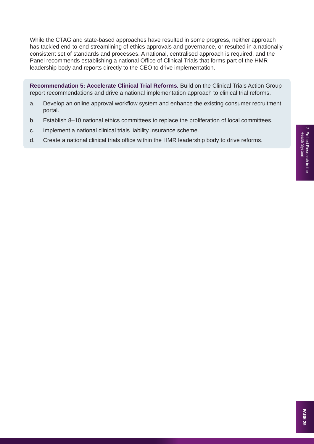While the CTAG and state-based approaches have resulted in some progress, neither approach has tackled end-to-end streamlining of ethics approvals and governance, or resulted in a nationally consistent set of standards and processes. A national, centralised approach is required, and the Panel recommends establishing a national Office of Clinical Trials that forms part of the HMR leadership body and reports directly to the CEO to drive implementation.

**Recommendation 5: Accelerate Clinical Trial Reforms.** Build on the Clinical Trials Action Group report recommendations and drive a national implementation approach to clinical trial reforms.

- a. Develop an online approval workflow system and enhance the existing consumer recruitment portal.
- b. Establish 8–10 national ethics committees to replace the proliferation of local committees.
- c. Implement a national clinical trials liability insurance scheme.
- d. Create a national clinical trials office within the HMR leadership body to drive reforms.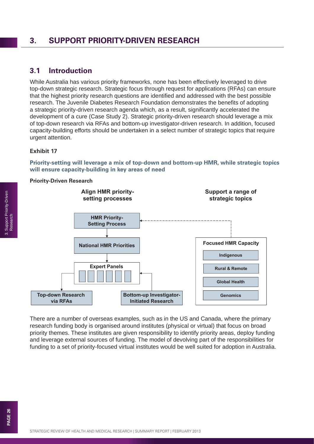### **3. SUPPORT PRIORITY-DRIVEN RESEARCH**

### **3.1 Introduction**

While Australia has various priority frameworks, none has been effectively leveraged to drive top-down strategic research. Strategic focus through request for applications (RFAs) can ensure that the highest priority research questions are identified and addressed with the best possible research. The Juvenile Diabetes Research Foundation demonstrates the benefits of adopting a strategic priority-driven research agenda which, as a result, significantly accelerated the development of a cure (Case Study 2). Strategic priority-driven research should leverage a mix of top-down research via RFAs and bottom-up investigator-driven research. In addition, focused capacity-building efforts should be undertaken in a select number of strategic topics that require urgent attention.

### **Exhibit 17**

**Priority-setting will leverage a mix of top-down and bottom-up HMR, while strategic topics will ensure capacity-building in key areas of need**

### **Priority-Driven Research HMR Priority-Setting Process Align HMR prioritysetting processes National HMR Priorities Support a range of strategic topics Rural & Remote Indigenous Genomics Global Health Focused HMR Capacity Bottom-up Investigator-Initiated Research Top-down Research via RFAs Expert Panels**

There are a number of overseas examples, such as in the US and Canada, where the primary research funding body is organised around institutes (physical or virtual) that focus on broad priority themes. These institutes are given responsibility to identify priority areas, deploy funding and leverage external sources of funding. The model of devolving part of the responsibilities for funding to a set of priority-focused virtual institutes would be well suited for adoption in Australia.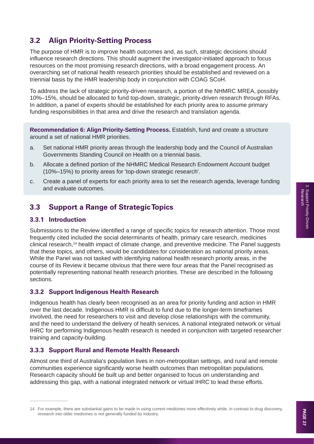### **3.2 Align Priority-Setting Process**

The purpose of HMR is to improve health outcomes and, as such, strategic decisions should influence research directions. This should augment the investigator-initiated approach to focus resources on the most promising research directions, with a broad engagement process. An overarching set of national health research priorities should be established and reviewed on a triennial basis by the HMR leadership body in conjunction with COAG SCoH.

To address the lack of strategic priority-driven research, a portion of the NHMRC MREA, possibly 10%–15%, should be allocated to fund top-down, strategic, priority-driven research through RFAs. In addition, a panel of experts should be established for each priority area to assume primary funding responsibilities in that area and drive the research and translation agenda.

**Recommendation 6: Align Priority-Setting Process.** Establish, fund and create a structure around a set of national HMR priorities.

- a. Set national HMR priority areas through the leadership body and the Council of Australian Governments Standing Council on Health on a triennial basis.
- b. Allocate a defined portion of the NHMRC Medical Research Endowment Account budget (10%–15%) to priority areas for 'top-down strategic research'.
- c. Create a panel of experts for each priority area to set the research agenda, leverage funding and evaluate outcomes.

### **3.3 Support a Range of Strategic Topics**

### **3.3.1 Introduction**

Submissions to the Review identified a range of specific topics for research attention. Those most frequently cited included the social determinants of health, primary care research, medicines clinical research,14 health impact of climate change, and preventive medicine. The Panel suggests that these topics, and others, would be candidates for consideration as national priority areas. While the Panel was not tasked with identifying national health research priority areas, in the course of its Review it became obvious that there were four areas that the Panel recognised as potentially representing national health research priorities. These are described in the following sections.

### **3.3.2 Support Indigenous Health Research**

Indigenous health has clearly been recognised as an area for priority funding and action in HMR over the last decade. Indigenous HMR is difficult to fund due to the longer-term timeframes involved, the need for researchers to visit and develop close relationships with the community, and the need to understand the delivery of health services. A national integrated network or virtual IHRC for performing Indigenous health research is needed in conjunction with targeted researcher training and capacity-building.

### **3.3.3 Support Rural and Remote Health Research**

Almost one third of Australia's population lives in non-metropolitan settings, and rural and remote communities experience significantly worse health outcomes than metropolitan populations. Research capacity should be built up and better organised to focus on understanding and addressing this gap, with a national integrated network or virtual IHRC to lead these efforts.

<sup>14</sup> For example, there are substantial gains to be made in using current medicines more effectively while, in contrast to drug discovery, research into older medicines is not generally funded by industry.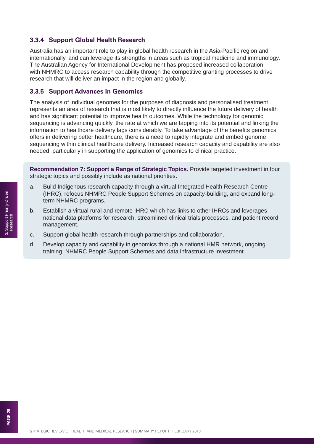### **3.3.4 Support Global Health Research**

Australia has an important role to play in global health research in the Asia-Pacific region and internationally, and can leverage its strengths in areas such as tropical medicine and immunology. The Australian Agency for International Development has proposed increased collaboration with NHMRC to access research capability through the competitive granting processes to drive research that will deliver an impact in the region and globally.

### **3.3.5 Support Advances in Genomics**

The analysis of individual genomes for the purposes of diagnosis and personalised treatment represents an area of research that is most likely to directly influence the future delivery of health and has significant potential to improve health outcomes. While the technology for genomic sequencing is advancing quickly, the rate at which we are tapping into its potential and linking the information to healthcare delivery lags considerably. To take advantage of the benefits genomics offers in delivering better healthcare, there is a need to rapidly integrate and embed genome sequencing within clinical healthcare delivery. Increased research capacity and capability are also needed, particularly in supporting the application of genomics to clinical practice.

**Recommendation 7: Support a Range of Strategic Topics.** Provide targeted investment in four strategic topics and possibly include as national priorities.

- a. Build Indigenous research capacity through a virtual Integrated Health Research Centre (IHRC), refocus NHMRC People Support Schemes on capacity-building, and expand longterm NHMRC programs.
- b. Establish a virtual rural and remote IHRC which has links to other IHRCs and leverages national data platforms for research, streamlined clinical trials processes, and patient record management.
- c. Support global health research through partnerships and collaboration.
- d. Develop capacity and capability in genomics through a national HMR network, ongoing training, NHMRC People Support Schemes and data infrastructure investment.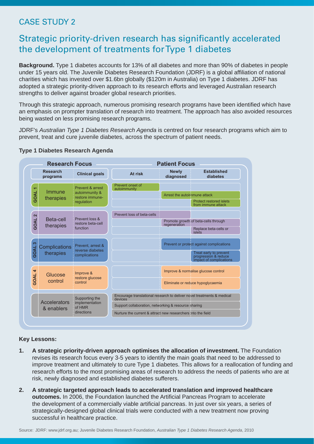### Strategic priority-driven research has significantly accelerated the development of treatments for Type 1 diabetes

**Background.** Type 1 diabetes accounts for 13% of all diabetes and more than 90% of diabetes in people under 15 years old. The Juvenile Diabetes Research Foundation (JDRF) is a global affiliation of national charities which has invested over \$1.6bn globally (\$120m in Australia) on Type 1 diabetes. JDRF has adopted a strategic priority-driven approach to its research efforts and leveraged Australian research strengths to deliver against broader global research priorities.

Through this strategic approach, numerous promising research programs have been identified which have an emphasis on prompter translation of research into treatment. The approach has also avoided resources being wasted on less promising research programs.

JDRF's *Australian Type 1 Diabetes Research Agenda* is centred on four research programs which aim to prevent, treat and cure juvenile diabetes, across the spectrum of patient needs.

| <b>Research Focus</b>   |                                            |                                       | <b>Patient Focus</b>                                                              |                                                      |                                                                           |  |
|-------------------------|--------------------------------------------|---------------------------------------|-----------------------------------------------------------------------------------|------------------------------------------------------|---------------------------------------------------------------------------|--|
|                         | <b>Research</b><br>programs                | <b>Clinical goals</b>                 | At risk                                                                           | <b>Newly</b><br>diagnosed                            | <b>Established</b><br>diabetes                                            |  |
|                         | Immune                                     | Prevent & arrest<br>autoimmunity &    | Prevent onset of<br>autoimmunity                                                  |                                                      |                                                                           |  |
| GOAL                    | restore immune-<br>therapies<br>requlation |                                       | Arrest the autoimmune attack                                                      | <b>Protect restored islets</b><br>from immune attack |                                                                           |  |
| $\overline{\mathbf{c}}$ | Beta-cell                                  | Prevent loss &                        | Prevent loss of beta-cells                                                        |                                                      | Promote growth of beta-cells through                                      |  |
| GOAL                    | therapies                                  | restore beta-cell<br>function         |                                                                                   | regeneration                                         | Replace beta-cells or<br>islets                                           |  |
| S                       | Complications                              | Prevent, arrest &<br>reverse diabetes |                                                                                   |                                                      | Prevent or protect against complications                                  |  |
| <b>BOAL</b>             | therapies                                  | complications                         |                                                                                   |                                                      | Treat early to prevent<br>progression & reduce<br>impact of complications |  |
| 4<br>Glucose            |                                            | Improve &<br>restore glucose          |                                                                                   |                                                      | Improve & normalise glucose control                                       |  |
| GOAL                    | control                                    | control                               |                                                                                   |                                                      | Eliminate or reduce hypoglycaemia                                         |  |
|                         | <b>Accelerators</b>                        | Supporting the                        | Encourage translational research to deliver novel treatments & medical<br>devices |                                                      |                                                                           |  |
|                         | & enablers                                 | implementation<br>of HMR              | Support collaboration, networking & resource sharing                              |                                                      |                                                                           |  |
|                         |                                            | directions                            | Nurture the current & attract new researchers into the field                      |                                                      |                                                                           |  |

### **Type 1 Diabetes Research Agenda**

### **Key Lessons:**

- **1. A strategic priority-driven approach optimises the allocation of investment.** The Foundation revises its research focus every 3-5 years to identify the main goals that need to be addressed to improve treatment and ultimately to cure Type 1 diabetes. This allows for a reallocation of funding and research efforts to the most promising areas of research to address the needs of patients who are at risk, newly diagnosed and established diabetes sufferers.
- **2. A strategic targeted approach leads to accelerated translation and improved healthcare outcomes.** In 2006, the Foundation launched the Artificial Pancreas Program to accelerate the development of a commercially viable artificial pancreas. In just over six years, a series of strategically-designed global clinical trials were conducted with a new treatment now proving successful in healthcare practice.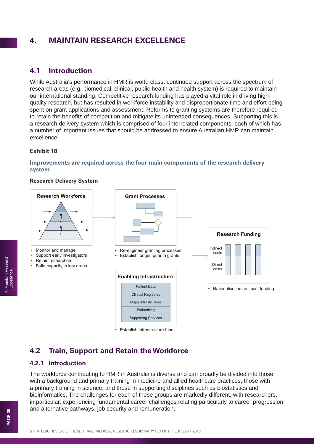### **4. MAINTAIN RESEARCH EXCELLENCE**

### **4.1 Introduction**

While Australia's performance in HMR is world class, continued support across the spectrum of research areas (e.g. biomedical, clinical, public health and health system) is required to maintain our international standing. Competitive research funding has played a vital role in driving highquality research, but has resulted in workforce instability and disproportionate time and effort being spent on grant applications and assessment. Reforms to granting systems are therefore required to retain the benefits of competition and mitigate its unintended consequences. Supporting this is a research delivery system which is comprised of four interrelated components, each of which has a number of important issues that should be addressed to ensure Australian HMR can maintain excellence.

#### **Exhibit 18**

#### **Improvements are required across the four main components of the research delivery system**

#### **Research Delivery System**



#### **Establish infrastructure fund**

### **4.2 Train, Support and Retain the Workforce**

### **4.2.1 Introduction**

The workforce contributing to HMR in Australia is diverse and can broadly be divided into those with a background and primary training in medicine and allied healthcare practices, those with a primary training in science, and those in supporting disciplines such as biostatistics and bioinformatics. The challenges for each of these groups are markedly different, with researchers, in particular, experiencing fundamental career challenges relating particularly to career progression and alternative pathways, job security and remuneration.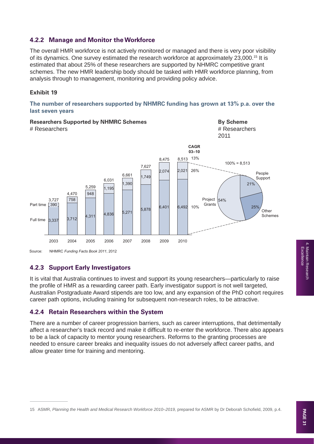### **4.2.2 Manage and Monitor the Workforce**

The overall HMR workforce is not actively monitored or managed and there is very poor visibility of its dynamics. One survey estimated the research workforce at approximately 23,000.15 It is estimated that about 25% of these researchers are supported by NHMRC competitive grant schemes. The new HMR leadership body should be tasked with HMR workforce planning, from analysis through to management, monitoring and providing policy advice.

#### **Exhibit 19**

#### **The number of researchers supported by NHMRC funding has grown at 13% p.a. over the last seven years**



### **4.2.3 Support Early Investigators**

It is vital that Australia continues to invest and support its young researchers—particularly to raise the profile of HMR as a rewarding career path. Early investigator support is not well targeted, Australian Postgraduate Award stipends are too low, and any expansion of the PhD cohort requires career path options, including training for subsequent non-research roles, to be attractive.

### **4.2.4 Retain Researchers within the System**

There are a number of career progression barriers, such as career interruptions, that detrimentally affect a researcher's track record and make it difficult to re-enter the workforce. There also appears to be a lack of capacity to mentor young researchers. Reforms to the granting processes are needed to ensure career breaks and inequality issues do not adversely affect career paths, and allow greater time for training and mentoring.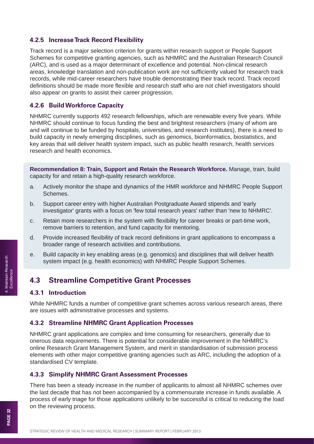### **4.2.5 Increase Track Record Flexibility**

Track record is a major selection criterion for grants within research support or People Support Schemes for competitive granting agencies, such as NHMRC and the Australian Research Council (ARC), and is used as a major determinant of excellence and potential. Non-clinical research areas, knowledge translation and non-publication work are not sufficiently valued for research track records, while mid-career researchers have trouble demonstrating their track record. Track record definitions should be made more flexible and research staff who are not chief investigators should also appear on grants to assist their career progression.

### **4.2.6 Build Workforce Capacity**

NHMRC currently supports 492 research fellowships, which are renewable every five years. While NHMRC should continue to focus funding the best and brightest researchers (many of whom are and will continue to be funded by hospitals, universities, and research institutes), there is a need to build capacity in newly emerging disciplines, such as genomics, bioinformatics, biostatistics, and key areas that will deliver health system impact, such as public health research, health services research and health economics.

**Recommendation 8: Train, Support and Retain the Research Workforce.** Manage, train, build capacity for and retain a high-quality research workforce.

- a. Actively monitor the shape and dynamics of the HMR workforce and NHMRC People Support Schemes.
- b. Support career entry with higher Australian Postgraduate Award stipends and 'early investigator' grants with a focus on 'few total research years' rather than 'new to NHMRC'.
- c. Retain more researchers in the system with flexibility for career breaks or part-time work, remove barriers to retention, and fund capacity for mentoring.
- d. Provide increased flexibility of track record definitions in grant applications to encompass a broader range of research activities and contributions.
- e. Build capacity in key enabling areas (e.g. genomics) and disciplines that will deliver health system impact (e.g. health economics) with NHMRC People Support Schemes.

### **4.3 Streamline Competitive Grant Processes**

### **4.3.1 Introduction**

While NHMRC funds a number of competitive grant schemes across various research areas, there are issues with administrative processes and systems.

### **4.3.2 Streamline NHMRC Grant Application Processes**

NHMRC grant applications are complex and time consuming for researchers, generally due to onerous data requirements. There is potential for considerable improvement in the NHMRC's online Research Grant Management System, and merit in standardisation of submission process elements with other major competitive granting agencies such as ARC, including the adoption of a standardised CV template.

### **4.3.3 Simplify NHMRC Grant Assessment Processes**

There has been a steady increase in the number of applicants to almost all NHMRC schemes over the last decade that has not been accompanied by a commensurate increase in funds available. A process of early triage for those applications unlikely to be successful is critical to reducing the load on the reviewing process.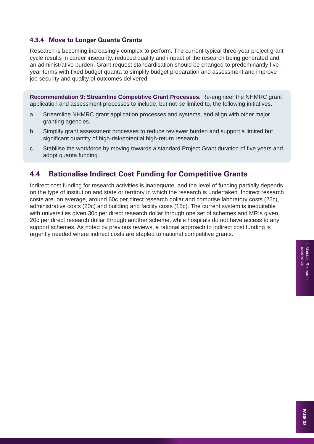### **4.3.4 Move to Longer Quanta Grants**

Research is becoming increasingly complex to perform. The current typical three-year project grant cycle results in career insecurity, reduced quality and impact of the research being generated and an administrative burden. Grant request standardisation should be changed to predominantly fiveyear terms with fixed budget quanta to simplify budget preparation and assessment and improve job security and quality of outcomes delivered.

**Recommendation 9: Streamline Competitive Grant Processes.** Re-engineer the NHMRC grant application and assessment processes to include, but not be limited to, the following initiatives.

- a. Streamline NHMRC grant application processes and systems, and align with other major granting agencies.
- b. Simplify grant assessment processes to reduce reviewer burden and support a limited but significant quantity of high-risk/potential high-return research.
- c. Stabilise the workforce by moving towards a standard Project Grant duration of five years and adopt quanta funding.

### **4.4 Rationalise Indirect Cost Funding for Competitive Grants**

Indirect cost funding for research activities is inadequate, and the level of funding partially depends on the type of institution and state or territory in which the research is undertaken. Indirect research costs are, on average, around 60c per direct research dollar and comprise laboratory costs (25c), administrative costs (20c) and building and facility costs (15c). The current system is inequitable with universities given 30c per direct research dollar through one set of schemes and MRIs given 20c per direct research dollar through another scheme, while hospitals do not have access to any support schemes. As noted by previous reviews, a rational approach to indirect cost funding is urgently needed where indirect costs are stapled to national competitive grants.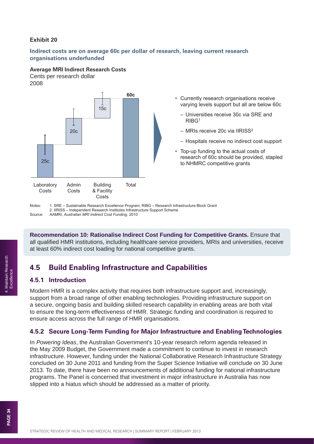#### **Exhibit 20**

#### **Indirect costs are on average 60c per dollar of research, leaving current research organisations underfunded**

#### **Average MRI Indirect Research Costs**

Cents per research dollar 2008



Notes: 1. SRE – Sustainable Research Excellence Program; RIBG – Research Infrastructure Block Grant 2. IIRISS – Independent Research Institutes Infrastructure Support Scheme Source: AAMRI, *Australian MRI Indirect Cost Funding*, 2010

**Recommendation 10: Rationalise Indirect Cost Funding for Competitive Grants.** Ensure that all qualified HMR institutions, including healthcare service providers, MRIs and universities, receive at least 60% indirect cost loading for national competitive grants.

### **4.5 Build Enabling Infrastructure and Capabilities**

### **4.5.1 Introduction**

Modern HMR is a complex activity that requires both infrastructure support and, increasingly, support from a broad range of other enabling technologies. Providing infrastructure support on a secure, ongoing basis and building skilled research capability in enabling areas are both vital to ensure the long-term effectiveness of HMR. Strategic funding and coordination is required to ensure access across the full range of HMR organisations.

### **4.5.2 Secure Long-Term Funding for Major Infrastructure and Enabling Technologies**

In *Powering Ideas*, the Australian Government's 10-year research reform agenda released in the May 2009 Budget, the Government made a commitment to continue to invest in research infrastructure. However, funding under the National Collaborative Research Infrastructure Strategy concluded on 30 June 2011 and funding from the Super Science Initiative will conclude on 30 June 2013. To date, there have been no announcements of additional funding for national infrastructure programs. The Panel is concerned that investment in major infrastructure in Australia has now slipped into a hiatus which should be addressed as a matter of priority.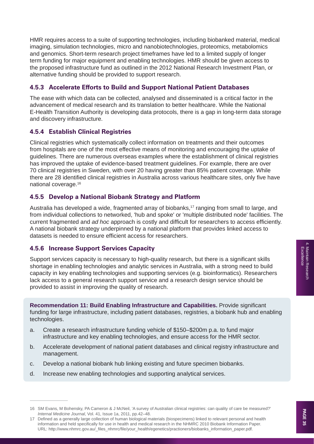HMR requires access to a suite of supporting technologies, including biobanked material, medical imaging, simulation technologies, micro and nanobiotechnologies, proteomics, metabolomics and genomics. Short-term research project timeframes have led to a limited supply of longer term funding for major equipment and enabling technologies. HMR should be given access to the proposed infrastructure fund as outlined in the 2012 National Research Investment Plan, or alternative funding should be provided to support research.

### **4.5.3 Accelerate Efforts to Build and Support National Patient Databases**

The ease with which data can be collected, analysed and disseminated is a critical factor in the advancement of medical research and its translation to better healthcare. While the National E-Health Transition Authority is developing data protocols, there is a gap in long-term data storage and discovery infrastructure.

### **4.5.4 Establish Clinical Registries**

Clinical registries which systematically collect information on treatments and their outcomes from hospitals are one of the most effective means of monitoring and encouraging the uptake of guidelines. There are numerous overseas examples where the establishment of clinical registries has improved the uptake of evidence-based treatment guidelines. For example, there are over 70 clinical registries in Sweden, with over 20 having greater than 85% patient coverage. While there are 28 identified clinical registries in Australia across various healthcare sites, only five have national coverage.16

### **4.5.5 Develop a National Biobank Strategy and Platform**

Australia has developed a wide, fragmented array of biobanks,<sup>17</sup> ranging from small to large, and from individual collections to networked, 'hub and spoke' or 'multiple distributed node' facilities. The current fragmented and *ad hoc* approach is costly and difficult for researchers to access efficiently. A national biobank strategy underpinned by a national platform that provides linked access to datasets is needed to ensure efficient access for researchers.

### **4.5.6 Increase Support Services Capacity**

Support services capacity is necessary to high-quality research, but there is a significant skills shortage in enabling technologies and analytic services in Australia, with a strong need to build capacity in key enabling technologies and supporting services (e.g. bioinformatics). Researchers lack access to a general research support service and a research design service should be provided to assist in improving the quality of research.

**Recommendation 11: Build Enabling Infrastructure and Capabilities.** Provide significant funding for large infrastructure, including patient databases, registries, a biobank hub and enabling technologies.

- a. Create a research infrastructure funding vehicle of \$150–\$200m p.a. to fund major infrastructure and key enabling technologies, and ensure access for the HMR sector.
- b. Accelerate development of national patient databases and clinical registry infrastructure and management.
- c. Develop a national biobank hub linking existing and future specimen biobanks.
- d. Increase new enabling technologies and supporting analytical services.

<sup>16</sup> SM Evans, M Bohensky, PA Cameron & J McNeil, 'A survey of Australian clinical registries: can quality of care be measured?' *Internal Medicine Journal*, Vol. 41, Issue 1a, 2011, pp.42–48.

<sup>17</sup> Defined as a generally large collection of human biological materials (biospecimens) linked to relevant personal and health information and held specifically for use in health and medical research in the NHMRC 2010 Biobank Information Paper. URL: http://www.nhmrc.gov.au/\_fi les\_nhmrc/fi le/your\_health/egenetics/practioners/biobanks\_information\_paper.pdf.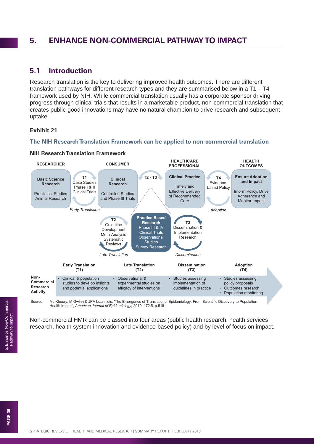### **5. ENHANCE NON-COMMERCIAL PATHWAY TO IMPACT**

### **5.1 Introduction**

Research translation is the key to delivering improved health outcomes. There are different translation pathways for different research types and they are summarised below in a T1 – T4 framework used by NIH. While commercial translation usually has a corporate sponsor driving progress through clinical trials that results in a marketable product, non-commercial translation that creates public-good innovations may have no natural champion to drive research and subsequent uptake.

#### **Exhibit 21**

#### **The NIH Research Translation Framework can be applied to non-commercial translation**



#### **NIH Research Translation Framework**

Source: MJ Khoury, M Gwinn & JPA Loannidis, 'The Emergence of Translational Epidemiology: From Scientific Discovery to Population Health Impact', *American Journal of Epidemiology*, 2010, 172:5, p.518

Non-commercial HMR can be classed into four areas (public health research, health services research, health system innovation and evidence-based policy) and by level of focus on impact.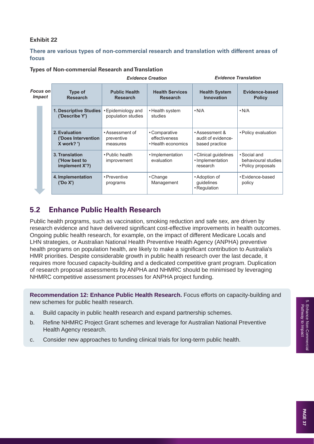### **Exhibit 22**

#### **There are various types of non-commercial research and translation with different areas of focus**

#### **Types of Non-commercial Research and Translation**

|                                  |  |                                                             | <b>Evidence Creation</b>                  |                                                      |                                                        | <b>Evidence Translation</b>                               |
|----------------------------------|--|-------------------------------------------------------------|-------------------------------------------|------------------------------------------------------|--------------------------------------------------------|-----------------------------------------------------------|
| <b>Focus on</b><br><i>Impact</i> |  | <b>Type of</b><br><b>Research</b>                           | <b>Public Health</b><br><b>Research</b>   | <b>Health Services</b><br><b>Research</b>            | <b>Health System</b><br><b>Innovation</b>              | <b>Evidence-based</b><br><b>Policy</b>                    |
|                                  |  | 1. Descriptive Studies<br>('Describe Y')                    | • Epidemiology and<br>population studies  | • Health system<br>studies                           | $\cdot$ N/A                                            | $\cdot$ N/A                                               |
|                                  |  | 2. Evaluation<br><b>('Does Intervention</b><br>$X$ work? ') | • Assessment of<br>preventive<br>measures | • Comparative<br>effectiveness<br>• Health economics | • Assessment &<br>audit of evidence-<br>based practice | • Policy evaluation                                       |
|                                  |  | 3. Translation<br>('How best to<br>implement X'?)           | • Public health<br>improvement            | • Implementation<br>evaluation                       | • Clinical guidelines<br>· Implementation<br>research  | • Social and<br>behavioural studies<br>• Policy proposals |
|                                  |  | 4. Implementation<br>('Do X')                               | • Preventive<br>programs                  | $\cdot$ Change<br>Management                         | • Adoption of<br>guidelines<br>• Regulation            | • Evidence-based<br>policy                                |

### **5.2 Enhance Public Health Research**

Public health programs, such as vaccination, smoking reduction and safe sex, are driven by research evidence and have delivered significant cost-effective improvements in health outcomes. Ongoing public health research, for example, on the impact of different Medicare Locals and LHN strategies, or Australian National Health Preventive Health Agency (ANPHA) preventive health programs on population health, are likely to make a significant contribution to Australia's HMR priorities. Despite considerable growth in public health research over the last decade, it requires more focused capacity-building and a dedicated competitive grant program. Duplication of research proposal assessments by ANPHA and NHMRC should be minimised by leveraging NHMRC competitive assessment processes for ANPHA project funding.

**Recommendation 12: Enhance Public Health Research.** Focus efforts on capacity-building and new schemes for public health research.

- a. Build capacity in public health research and expand partnership schemes.
- b. Refine NHMRC Project Grant schemes and leverage for Australian National Preventive Health Agency research.
- c. Consider new approaches to funding clinical trials for long-term public health.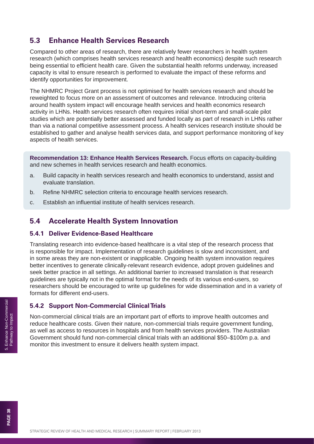### **5.3 Enhance Health Services Research**

Compared to other areas of research, there are relatively fewer researchers in health system research (which comprises health services research and health economics) despite such research being essential to efficient health care. Given the substantial health reforms underway, increased capacity is vital to ensure research is performed to evaluate the impact of these reforms and identify opportunities for improvement.

The NHMRC Project Grant process is not optimised for health services research and should be reweighted to focus more on an assessment of outcomes and relevance. Introducing criteria around health system impact will encourage health services and health economics research activity in LHNs. Health services research often requires initial short-term and small-scale pilot studies which are potentially better assessed and funded locally as part of research in LHNs rather than via a national competitive assessment process. A health services research institute should be established to gather and analyse health services data, and support performance monitoring of key aspects of health services.

**Recommendation 13: Enhance Health Services Research.** Focus efforts on capacity-building and new schemes in health services research and health economics.

- a. Build capacity in health services research and health economics to understand, assist and evaluate translation.
- b. Refine NHMRC selection criteria to encourage health services research.
- c. Establish an influential institute of health services research.

### **5.4 Accelerate Health System Innovation**

### **5.4.1 Deliver Evidence-Based Healthcare**

Translating research into evidence-based healthcare is a vital step of the research process that is responsible for impact. Implementation of research guidelines is slow and inconsistent, and in some areas they are non-existent or inapplicable. Ongoing health system innovation requires better incentives to generate clinically-relevant research evidence, adopt proven guidelines and seek better practice in all settings. An additional barrier to increased translation is that research guidelines are typically not in the optimal format for the needs of its various end-users, so researchers should be encouraged to write up guidelines for wide dissemination and in a variety of formats for different end-users.

### **5.4.2 Support Non-Commercial Clinical Trials**

Non-commercial clinical trials are an important part of efforts to improve health outcomes and reduce healthcare costs. Given their nature, non-commercial trials require government funding, as well as access to resources in hospitals and from health services providers. The Australian Government should fund non-commercial clinical trials with an additional \$50–\$100m p.a. and monitor this investment to ensure it delivers health system impact.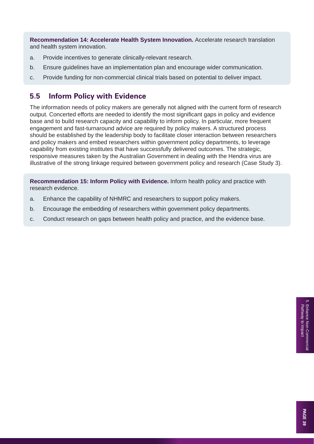**Recommendation 14: Accelerate Health System Innovation.** Accelerate research translation and health system innovation.

- a. Provide incentives to generate clinically-relevant research.
- b. Ensure guidelines have an implementation plan and encourage wider communication.
- c. Provide funding for non-commercial clinical trials based on potential to deliver impact.

### **5.5 Inform Policy with Evidence**

The information needs of policy makers are generally not aligned with the current form of research output. Concerted efforts are needed to identify the most significant gaps in policy and evidence base and to build research capacity and capability to inform policy. In particular, more frequent engagement and fast-turnaround advice are required by policy makers. A structured process should be established by the leadership body to facilitate closer interaction between researchers and policy makers and embed researchers within government policy departments, to leverage capability from existing institutes that have successfully delivered outcomes. The strategic, responsive measures taken by the Australian Government in dealing with the Hendra virus are illustrative of the strong linkage required between government policy and research (Case Study 3).

**Recommendation 15: Inform Policy with Evidence.** Inform health policy and practice with research evidence.

- a. Enhance the capability of NHMRC and researchers to support policy makers.
- b. Encourage the embedding of researchers within government policy departments.
- c. Conduct research on gaps between health policy and practice, and the evidence base.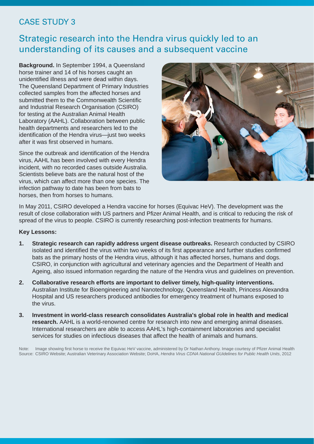### CASE STUDY 3

### Strategic research into the Hendra virus quickly led to an understanding of its causes and a subsequent vaccine

**Background.** In September 1994, a Queensland horse trainer and 14 of his horses caught an unidentified illness and were dead within days. The Queensland Department of Primary Industries collected samples from the affected horses and submitted them to the Commonwealth Scientific and Industrial Research Organisation (CSIRO) for testing at the Australian Animal Health Laboratory (AAHL). Collaboration between public health departments and researchers led to the identification of the Hendra virus—just two weeks after it was first observed in humans.

Since the outbreak and identification of the Hendra virus, AAHL has been involved with every Hendra incident, with no recorded cases outside Australia. Scientists believe bats are the natural host of the virus, which can affect more than one species. The infection pathway to date has been from bats to horses, then from horses to humans.



In May 2011, CSIRO developed a Hendra vaccine for horses (Equivac HeV). The development was the result of close collaboration with US partners and Pfizer Animal Health, and is critical to reducing the risk of spread of the virus to people. CSIRO is currently researching post-infection treatments for humans.

### **Key Lessons:**

- **1. Strategic research can rapidly address urgent disease outbreaks.** Research conducted by CSIRO isolated and identified the virus within two weeks of its first appearance and further studies confirmed bats as the primary hosts of the Hendra virus, although it has affected horses, humans and dogs. CSIRO, in conjunction with agricultural and veterinary agencies and the Department of Health and Ageing, also issued information regarding the nature of the Hendra virus and guidelines on prevention.
- **2. Collaborative research efforts are important to deliver timely, high-quality interventions.**  Australian Institute for Bioengineering and Nanotechnology, Queensland Health, Princess Alexandra Hospital and US researchers produced antibodies for emergency treatment of humans exposed to the virus.
- **3. Investment in world-class research consolidates Australia's global role in health and medical research.** AAHL is a world-renowned centre for research into new and emerging animal diseases. International researchers are able to access AAHL's high-containment laboratories and specialist services for studies on infectious diseases that affect the health of animals and humans.

Note: Image showing first horse to receive the Equivac HeV vaccine, administered by Dr Nathan Anthony. Image courtesy of Pfizer Animal Health Source: CSIRO Website; Australian Veterinary Association Website; DoHA, *Hendra Virus CDNA National GUidelines for Public Health Units*, 2012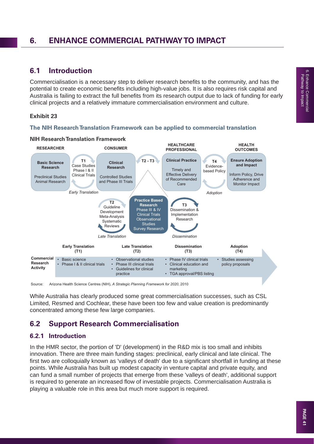### **6. ENHANCE COMMERCIAL PATHWAY TO IMPACT**

### **6.1 Introduction**

Commercialisation is a necessary step to deliver research benefits to the community, and has the potential to create economic benefits including high-value jobs. It is also requires risk capital and Australia is failing to extract the full benefits from its research output due to lack of funding for early clinical projects and a relatively immature commercialisation environment and culture.

### **Exhibit 23**

#### **The NIH Research Translation Framework can be applied to commercial translation**



Source: Arizona Health Science Centres (NIH), *A Strategic Planning Framework for 2020*, 2010

While Australia has clearly produced some great commercialisation successes, such as CSL Limited, Resmed and Cochlear, these have been too few and value creation is predominantly concentrated among these few large companies.

### **6.2 Support Research Commercialisation**

### **6.2.1 Introduction**

In the HMR sector, the portion of 'D' (development) in the R&D mix is too small and inhibits innovation. There are three main funding stages: preclinical, early clinical and late clinical. The first two are colloquially known as 'valleys of death' due to a significant shortfall in funding at these points. While Australia has built up modest capacity in venture capital and private equity, and can fund a small number of projects that emerge from these 'valleys of death', additional support is required to generate an increased flow of investable projects. Commercialisation Australia is playing a valuable role in this area but much more support is required.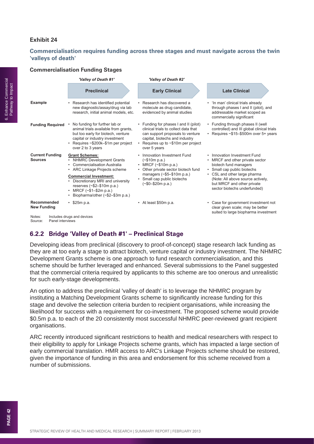#### **Exhibit 24**

#### **Commercialisation requires funding across three stages and must navigate across the twin 'valleys of death'**

#### **Commercialisation Funding Stages**

|                                                                            | 'Valley of Death #1'                                                                                                                                                                                                                                                                                                          | 'Valley of Death #2'                                                                                                                                                                                               |                                                                                                                                                                                                                                                            |
|----------------------------------------------------------------------------|-------------------------------------------------------------------------------------------------------------------------------------------------------------------------------------------------------------------------------------------------------------------------------------------------------------------------------|--------------------------------------------------------------------------------------------------------------------------------------------------------------------------------------------------------------------|------------------------------------------------------------------------------------------------------------------------------------------------------------------------------------------------------------------------------------------------------------|
|                                                                            | <b>Preclinical</b>                                                                                                                                                                                                                                                                                                            | <b>Early Clinical</b>                                                                                                                                                                                              | <b>Late Clinical</b>                                                                                                                                                                                                                                       |
| Example                                                                    | Research has identified potential<br>٠<br>new diagnostic/assay/drug via lab<br>research, initial animal models, etc.                                                                                                                                                                                                          | • Research has discovered a<br>molecule as drug candidate,<br>evidenced by animal studies                                                                                                                          | • 'In man' clinical trials already<br>through phases I and II (pilot), and<br>addressable market scoped as<br>commercially significant                                                                                                                     |
| <b>Funding Required</b>                                                    | No funding for further lab or<br>٠<br>animal trials available from grants,<br>but too early for biotech, venture<br>capital or industry investment<br>• Requires ~\$200k-\$1m per project<br>over 2 to 3 years                                                                                                                | • Funding for phases I and II (pilot)<br>clinical trials to collect data that<br>can support proposals to venture<br>capital, biotechs and industry<br>• Requires up to $\sim$ \$10m per project<br>over 5 years   | • Funding through phases II (well<br>controlled) and III global clinical trials<br>• Requires ~\$15-\$500m over 5+ years                                                                                                                                   |
| <b>Current Funding</b><br><b>Sources</b>                                   | <b>Grant Schemes:</b><br>• NHMRC Development Grants<br><b>Commercialisation Australia</b><br>$\bullet$<br>• ARC Linkage Projects scheme<br><b>Commercial Investment:</b><br>Discretionary MRI and university<br>$\bullet$<br>reserves $(*\$2-\$10m p.a.)$<br>MRCF (~\$1-\$2m p.a.)<br>Biopharma/other $(\sim $2 - $3$ m p.a.) | • Innovation Investment Fund<br>$(*$10m p.a.)$<br>• MRCF $(\sim $10m \text{ p.a.})$<br>Other private sector biotech fund<br>managers $(\sim$ \$5-\$10m p.a.)<br>Small cap public biotechs<br>$(*\$0 - \$20m p.a.)$ | • Innovation Investment Fund<br>• MRCF and other private sector<br>biotech fund managers<br>• Small cap public biotechs<br>• CSL and other large pharma<br>(Note: All above source actively,<br>but MRCF and other private<br>sector biotechs underfunded) |
| Recommended<br><b>New Funding</b><br>Notes:<br>Panel interviews<br>Source: | $\cdot$ \$25m p.a.<br>Includes drugs and devices                                                                                                                                                                                                                                                                              | • At least \$50m p.a.                                                                                                                                                                                              | • Case for government investment not<br>clear given scale; may be better<br>suited to large biopharma investment                                                                                                                                           |

### **6.2.2 Bridge 'Valley of Death #1' – Preclinical Stage**

Developing ideas from preclinical (discovery to proof-of-concept) stage research lack funding as they are at too early a stage to attract biotech, venture capital or industry investment. The NHMRC Development Grants scheme is one approach to fund research commercialisation, and this scheme should be further leveraged and enhanced. Several submissions to the Panel suggested that the commercial criteria required by applicants to this scheme are too onerous and unrealistic for such early-stage developments.

An option to address the preclinical 'valley of death' is to leverage the NHMRC program by instituting a Matching Development Grants scheme to significantly increase funding for this stage and devolve the selection criteria burden to recipient organisations, while increasing the likelihood for success with a requirement for co-investment. The proposed scheme would provide \$0.5m p.a. to each of the 20 consistently most successful NHMRC peer-reviewed grant recipient organisations.

ARC recently introduced significant restrictions to health and medical researchers with respect to their eligibility to apply for Linkage Projects scheme grants, which has impacted a large section of early commercial translation. HMR access to ARC's Linkage Projects scheme should be restored, given the importance of funding in this area and endorsement for this scheme received from a number of submissions.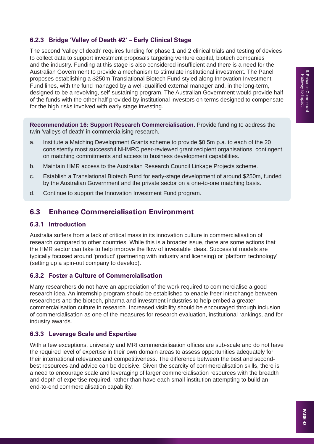### **6.2.3 Bridge 'Valley of Death #2' – Early Clinical Stage**

The second 'valley of death' requires funding for phase 1 and 2 clinical trials and testing of devices to collect data to support investment proposals targeting venture capital, biotech companies and the industry. Funding at this stage is also considered insufficient and there is a need for the Australian Government to provide a mechanism to stimulate institutional investment. The Panel proposes establishing a \$250m Translational Biotech Fund styled along Innovation Investment Fund lines, with the fund managed by a well-qualified external manager and, in the long-term, designed to be a revolving, self-sustaining program. The Australian Government would provide half of the funds with the other half provided by institutional investors on terms designed to compensate for the high risks involved with early stage investing.

**Recommendation 16: Support Research Commercialisation.** Provide funding to address the twin 'valleys of death' in commercialising research.

- a. Institute a Matching Development Grants scheme to provide \$0.5m p.a. to each of the 20 consistently most successful NHMRC peer-reviewed grant recipient organisations, contingent on matching commitments and access to business development capabilities.
- b. Maintain HMR access to the Australian Research Council Linkage Projects scheme.
- c. Establish a Translational Biotech Fund for early-stage development of around \$250m, funded by the Australian Government and the private sector on a one-to-one matching basis.
- d. Continue to support the Innovation Investment Fund program.

### **6.3 Enhance Commercialisation Environment**

### **6.3.1 Introduction**

Australia suffers from a lack of critical mass in its innovation culture in commercialisation of research compared to other countries. While this is a broader issue, there are some actions that the HMR sector can take to help improve the flow of investable ideas. Successful models are typically focused around 'product' (partnering with industry and licensing) or 'platform technology' (setting up a spin-out company to develop).

### **6.3.2 Foster a Culture of Commercialisation**

Many researchers do not have an appreciation of the work required to commercialise a good research idea. An internship program should be established to enable freer interchange between researchers and the biotech, pharma and investment industries to help embed a greater commercialisation culture in research. Increased visibility should be encouraged through inclusion of commercialisation as one of the measures for research evaluation, institutional rankings, and for industry awards.

### **6.3.3 Leverage Scale and Expertise**

With a few exceptions, university and MRI commercialisation offices are sub-scale and do not have the required level of expertise in their own domain areas to assess opportunities adequately for their international relevance and competitiveness. The difference between the best and secondbest resources and advice can be decisive. Given the scarcity of commercialisation skills, there is a need to encourage scale and leveraging of larger commercialisation resources with the breadth and depth of expertise required, rather than have each small institution attempting to build an end-to-end commercialisation capability.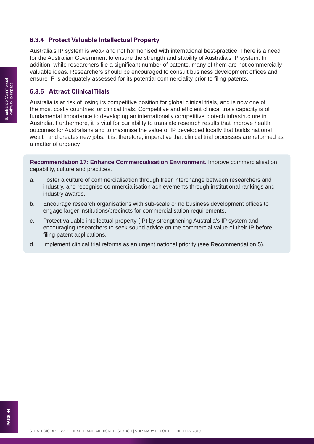### **6.3.4 Protect Valuable Intellectual Property**

Australia's IP system is weak and not harmonised with international best-practice. There is a need for the Australian Government to ensure the strength and stability of Australia's IP system. In addition, while researchers file a significant number of patents, many of them are not commercially valuable ideas. Researchers should be encouraged to consult business development offices and ensure IP is adequately assessed for its potential commerciality prior to filing patents.

### **6.3.5 Attract Clinical Trials**

Australia is at risk of losing its competitive position for global clinical trials, and is now one of the most costly countries for clinical trials. Competitive and efficient clinical trials capacity is of fundamental importance to developing an internationally competitive biotech infrastructure in Australia. Furthermore, it is vital for our ability to translate research results that improve health outcomes for Australians and to maximise the value of IP developed locally that builds national wealth and creates new jobs. It is, therefore, imperative that clinical trial processes are reformed as a matter of urgency.

**Recommendation 17: Enhance Commercialisation Environment.** Improve commercialisation capability, culture and practices.

- a. Foster a culture of commercialisation through freer interchange between researchers and industry, and recognise commercialisation achievements through institutional rankings and industry awards.
- b. Encourage research organisations with sub-scale or no business development offices to engage larger institutions/precincts for commercialisation requirements.
- c. Protect valuable intellectual property (IP) by strengthening Australia's IP system and encouraging researchers to seek sound advice on the commercial value of their IP before filing patent applications.
- d. Implement clinical trial reforms as an urgent national priority (see Recommendation 5).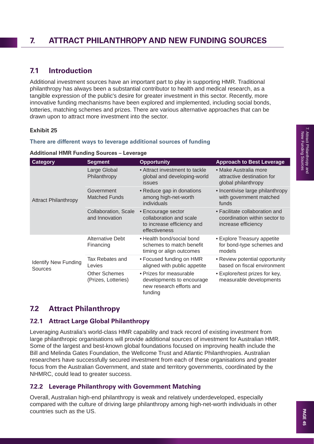### **7. ATTRACT PHILANTHROPY AND NEW FUNDING SOURCES**

### **7.1 Introduction**

Additional investment sources have an important part to play in supporting HMR. Traditional philanthropy has always been a substantial contributor to health and medical research, as a tangible expression of the public's desire for greater investment in this sector. Recently, more innovative funding mechanisms have been explored and implemented, including social bonds, lotteries, matching schemes and prizes. There are various alternative approaches that can be drawn upon to attract more investment into the sector.

#### **Exhibit 25**

#### **There are different ways to leverage additional sources of funding**

#### **Additional HMR Funding Sources – Leverage**

| <b>Category</b>                        | <b>Segment</b>                              | <b>Opportunity</b>                                                                           | <b>Approach to Best Leverage</b>                                                       |
|----------------------------------------|---------------------------------------------|----------------------------------------------------------------------------------------------|----------------------------------------------------------------------------------------|
|                                        | Large Global<br>Philanthropy                | • Attract investment to tackle<br>global and developing-world<br><b>issues</b>               | • Make Australia more<br>attractive destination for<br>global philanthropy             |
| <b>Attract Philanthropy</b>            | Government<br><b>Matched Funds</b>          | • Reduce gap in donations<br>among high-net-worth<br>individuals                             | • Incentivise large philanthropy<br>with government matched<br>funds                   |
|                                        | Collaboration, Scale<br>and Innovation      | • Encourage sector<br>collaboration and scale<br>to increase efficiency and<br>effectiveness | • Facilitate collaboration and<br>coordination within sector to<br>increase efficiency |
|                                        | Alternative Debt<br>Financing               | • Health bond/social bond<br>schemes to match benefit<br>timing or align outcomes            | • Explore Treasury appetite<br>for bond-type schemes and<br>models                     |
| <b>Identify New Funding</b><br>Sources | Tax Rebates and<br>Levies                   | • Focused funding on HMR<br>aligned with public appetite                                     | • Review potential opportunity<br>based on fiscal environment                          |
|                                        | <b>Other Schemes</b><br>(Prizes, Lotteries) | • Prizes for measurable<br>developments to encourage<br>new research efforts and<br>funding  | • Explore/test prizes for key,<br>measurable developments                              |

### **7.2 Attract Philanthropy**

### **7.2.1 Attract Large Global Philanthropy**

Leveraging Australia's world-class HMR capability and track record of existing investment from large philanthropic organisations will provide additional sources of investment for Australian HMR. Some of the largest and best-known global foundations focused on improving health include the Bill and Melinda Gates Foundation, the Wellcome Trust and Atlantic Philanthropies. Australian researchers have successfully secured investment from each of these organisations and greater focus from the Australian Government, and state and territory governments, coordinated by the NHMRC, could lead to greater success.

### **7.2.2 Leverage Philanthropy with Government Matching**

Overall, Australian high-end philanthropy is weak and relatively underdeveloped, especially compared with the culture of driving large philanthropy among high-net-worth individuals in other countries such as the US.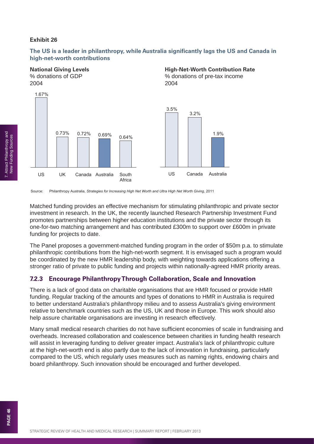### **Exhibit 26**

1.67%

#### The US is a leader in philanthropy, while Australia significantly lags the US and Canada in **high-net-worth contributions**

## **National Giving Levels <b>High-Net-Worth Contribution Rate**

0.73% 0.72% 0.69%

US UK Canada Australia



1.9%

US Canada Australia

Source: Philanthropy Australia, *Strategies for Increasing High Net Worth and Ultra High Net Worth Giving*, 2011

South Africa

0.64%

Matched funding provides an effective mechanism for stimulating philanthropic and private sector investment in research. In the UK, the recently launched Research Partnership Investment Fund promotes partnerships between higher education institutions and the private sector through its one-for-two matching arrangement and has contributed £300m to support over £600m in private funding for projects to date.

The Panel proposes a government-matched funding program in the order of \$50m p.a. to stimulate philanthropic contributions from the high-net-worth segment. It is envisaged such a program would be coordinated by the new HMR leadership body, with weighting towards applications offering a stronger ratio of private to public funding and projects within nationally-agreed HMR priority areas.

### **7.2.3 Encourage Philanthropy Through Collaboration, Scale and Innovation**

There is a lack of good data on charitable organisations that are HMR focused or provide HMR funding. Regular tracking of the amounts and types of donations to HMR in Australia is required to better understand Australia's philanthropy milieu and to assess Australia's giving environment relative to benchmark countries such as the US, UK and those in Europe. This work should also help assure charitable organisations are investing in research effectively.

Many small medical research charities do not have sufficient economies of scale in fundraising and overheads. Increased collaboration and coalescence between charities in funding health research will assist in leveraging funding to deliver greater impact. Australia's lack of philanthropic culture at the high-net-worth end is also partly due to the lack of innovation in fundraising, particularly compared to the US, which regularly uses measures such as naming rights, endowing chairs and board philanthropy. Such innovation should be encouraged and further developed.

PAGE 46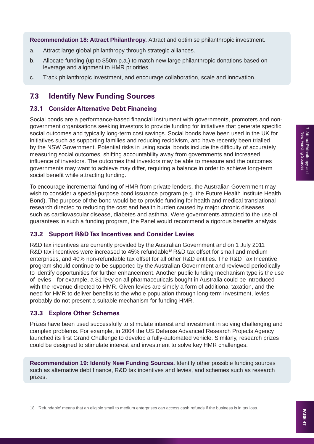**Recommendation 18: Attract Philanthropy.** Attract and optimise philanthropic investment.

- a. Attract large global philanthropy through strategic alliances.
- b. Allocate funding (up to \$50m p.a.) to match new large philanthropic donations based on leverage and alignment to HMR priorities.
- c. Track philanthropic investment, and encourage collaboration, scale and innovation.

### **7.3 Identify New Funding Sources**

### **7.3.1 Consider Alternative Debt Financing**

Social bonds are a performance-based financial instrument with governments, promoters and nongovernment organisations seeking investors to provide funding for initiatives that generate specific social outcomes and typically long-term cost savings. Social bonds have been used in the UK for initiatives such as supporting families and reducing recidivism, and have recently been trialled by the NSW Government. Potential risks in using social bonds include the difficulty of accurately measuring social outcomes, shifting accountability away from governments and increased influence of investors. The outcomes that investors may be able to measure and the outcomes governments may want to achieve may differ, requiring a balance in order to achieve long-term social benefit while attracting funding.

To encourage incremental funding of HMR from private lenders, the Australian Government may wish to consider a special-purpose bond issuance program (e.g. the Future Health Institute Health Bond). The purpose of the bond would be to provide funding for health and medical translational research directed to reducing the cost and health burden caused by major chronic diseases such as cardiovascular disease, diabetes and asthma. Were governments attracted to the use of guarantees in such a funding program, the Panel would recommend a rigorous benefits analysis.

### **7.3.2 Support R&D Tax Incentives and Consider Levies**

R&D tax incentives are currently provided by the Australian Government and on 1 July 2011 R&D tax incentives were increased to 45% refundable<sup>18</sup> R&D tax offset for small and medium enterprises, and 40% non-refundable tax offset for all other R&D entities. The R&D Tax Incentive program should continue to be supported by the Australian Government and reviewed periodically to identify opportunities for further enhancement. Another public funding mechanism type is the use of levies—for example, a \$1 levy on all pharmaceuticals bought in Australia could be introduced with the revenue directed to HMR. Given levies are simply a form of additional taxation, and the need for HMR to deliver benefits to the whole population through long-term investment, levies probably do not present a suitable mechanism for funding HMR.

### **7.3.3 Explore Other Schemes**

Prizes have been used successfully to stimulate interest and investment in solving challenging and complex problems. For example, in 2004 the US Defense Advanced Research Projects Agency launched its first Grand Challenge to develop a fully-automated vehicle. Similarly, research prizes could be designed to stimulate interest and investment to solve key HMR challenges.

**Recommendation 19: Identify New Funding Sources.** Identify other possible funding sources such as alternative debt finance, R&D tax incentives and levies, and schemes such as research prizes.

<sup>18 &#</sup>x27;Refundable' means that an eligible small to medium enterprises can access cash refunds if the business is in tax loss.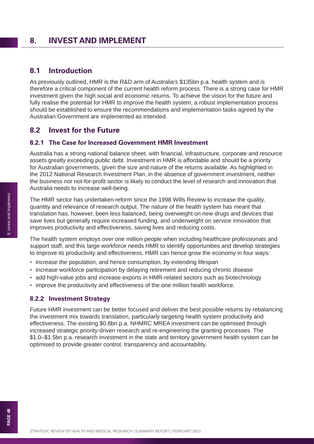### **8.1 Introduction**

As previously outlined, HMR is the R&D arm of Australia's \$135bn p.a. health system and is therefore a critical component of the current health reform process. There is a strong case for HMR investment given the high social and economic returns. To achieve the vision for the future and fully realise the potential for HMR to improve the health system, a robust implementation process should be established to ensure the recommendations and implementation tasks agreed by the Australian Government are implemented as intended.

### **8.2 Invest for the Future**

### **8.2.1 The Case for Increased Government HMR Investment**

Australia has a strong national balance sheet, with financial, infrastructure, corporate and resource assets greatly exceeding public debt. Investment in HMR is affordable and should be a priority for Australian governments, given the size and nature of the returns available. As highlighted in the 2012 National Research Investment Plan, in the absence of government investment, neither the business nor not-for-profit sector is likely to conduct the level of research and innovation that Australia needs to increase well-being.

The HMR sector has undertaken reform since the 1998 Wills Review to increase the quality, quantity and relevance of research output. The nature of the health system has meant that translation has, however, been less balanced, being overweight on new drugs and devices that save lives but generally require increased funding, and underweight on service innovation that improves productivity and effectiveness, saving lives and reducing costs.

The health system employs over one million people when including healthcare professionals and support staff, and this large workforce needs HMR to identify opportunities and develop strategies to improve its productivity and effectiveness. HMR can hence grow the economy in four ways:

- increase the population, and hence consumption, by extending lifespan
- increase workforce participation by delaying retirement and reducing chronic disease
- add high-value jobs and increase exports in HMR-related sectors such as biotechnology
- improve the productivity and effectiveness of the one million health workforce.

### **8.2.2 Investment Strategy**

Future HMR investment can be better focused and deliver the best possible returns by rebalancing the investment mix towards translation, particularly targeting health system productivity and effectiveness. The existing \$0.8bn p.a. NHMRC MREA investment can be optimised through increased strategic priority-driven research and re-engineering the granting processes. The \$1.0–\$1.5bn p.a. research investment in the state and territory government health system can be optimised to provide greater control, transparency and accountability.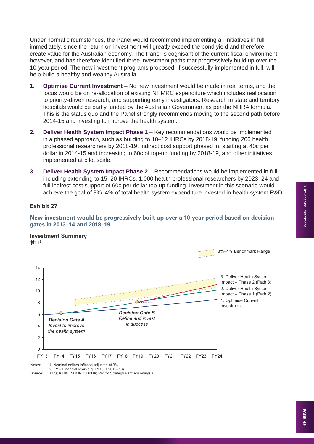8. Invest and Implement

Under normal circumstances, the Panel would recommend implementing all initiatives in full immediately, since the return on investment will greatly exceed the bond yield and therefore create value for the Australian economy. The Panel is cognisant of the current fiscal environment, however, and has therefore identified three investment paths that progressively build up over the 10-year period. The new investment programs proposed, if successfully implemented in full, will help build a healthy and wealthy Australia.

- **1. Optimise Current Investment** No new investment would be made in real terms, and the focus would be on re-allocation of existing NHMRC expenditure which includes reallocation to priority-driven research, and supporting early investigators. Research in state and territory hospitals would be partly funded by the Australian Government as per the NHRA formula. This is the status quo and the Panel strongly recommends moving to the second path before 2014-15 and investing to improve the health system.
- **2. Deliver Health System Impact Phase 1**  Key recommendations would be implemented in a phased approach, such as building to 10–12 IHRCs by 2018-19, funding 200 health professional researchers by 2018-19, indirect cost support phased in, starting at 40c per dollar in 2014-15 and increasing to 60c of top-up funding by 2018-19, and other initiatives implemented at pilot scale.
- **3. Deliver Health System Impact Phase 2**  Recommendations would be implemented in full including extending to 15–20 IHRCs, 1,000 health professional researchers by 2023–24 and full indirect cost support of 60c per dollar top-up funding. Investment in this scenario would achieve the goal of 3%–4% of total health system expenditure invested in health system R&D.

### **Exhibit 27**

### **New investment would be progressively built up over a 10-year period based on decision gates in 2013–14 and 2018–19**

#### **Investment Summary**  $$bn<sup>1</sup>$



2. FY – Financial year (e.g. FY13 is 2012–13)

Source: ABS; AIHW; NHMRC; DoHA; Pacific Strategy Partners analysis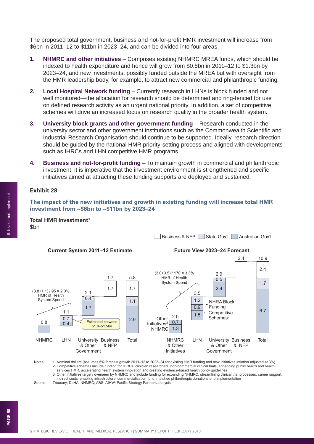The proposed total government, business and not-for-profit HMR investment will increase from \$6bn in 2011–12 to \$11bn in 2023–24, and can be divided into four areas.

- **1. NHMRC and other initiatives** Comprises existing NHMRC MREA funds, which should be indexed to health expenditure and hence will grow from \$0.8bn in 2011–12 to \$1.3bn by 2023–24, and new investments, possibly funded outside the MREA but with oversight from the HMR leadership body, for example, to attract new commercial and philanthropic funding.
- **2. Local Hospital Network funding** Currently research in LHNs is block funded and not well monitored—the allocation for research should be determined and ring-fenced for use on defined research activity as an urgent national priority. In addition, a set of competitive schemes will drive an increased focus on research quality in the broader health system.
- **3. University block grants and other government funding** Research conducted in the university sector and other government institutions such as the Commonwealth Scientific and Industrial Research Organisation should continue to be supported. Ideally, research direction should be guided by the national HMR priority-setting process and aligned with developments such as IHRCs and LHN competitive HMR programs.
- **4. Business and not-for-profit funding** To maintain growth in commercial and philanthropic investment, it is imperative that the investment environment is strengthened and specific initiatives aimed at attracting these funding supports are deployed and sustained.

#### **Exhibit 28**

**The impact of the new initiatives and growth in existing funding will increase total HMR investment from ~\$6bn to ~\$11bn by 2023–24**

**Total HMR Investment1** \$bn



Notes: 1. Nominal dollars (assumes 5% forecast growth 2011–12 to 2023–24 for existing HMR funding and new initiatives inflation adjusted at 3%) 2. Competitive schemes include funding for IHRCs, clinician researchers, non-commercial clinical trials, enhancing public health and health services HMR, accelerating health system innovation and creating evidence-based health policy guidelines

3. Other initiatives largely overseen by NHMRC and include funding for expanding NHMRC, streamlining clinical trial processes, career support, indirect costs, enabling infrastructure, commercialisation fund, matched philanthropic donations and implementation

Source: Treasury; DoHA; NHMRC; ABS; AIHW; Pacific Strategy Partners analysis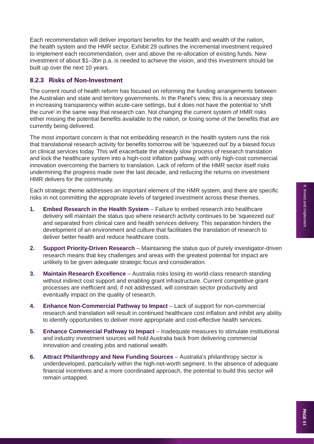Each recommendation will deliver important benefits for the health and wealth of the nation, the health system and the HMR sector. Exhibit 29 outlines the incremental investment required to implement each recommendation, over and above the re-allocation of existing funds. New investment of about \$1–3bn p.a. is needed to achieve the vision, and this investment should be built up over the next 10 years.

### **8.2.3 Risks of Non-Investment**

The current round of health reform has focused on reforming the funding arrangements between the Australian and state and territory governments. In the Panel's view, this is a necessary step in increasing transparency within acute-care settings, but it does not have the potential to 'shift the curve' in the same way that research can. Not changing the current system of HMR risks either missing the potential benefits available to the nation, or losing some of the benefits that are currently being delivered.

The most important concern is that not embedding research in the health system runs the risk that translational research activity for benefits tomorrow will be 'squeezed out' by a biased focus on clinical services today. This will exacerbate the already slow process of research translation and lock the healthcare system into a high-cost inflation pathway, with only high-cost commercial innovation overcoming the barriers to translation. Lack of reform of the HMR sector itself risks undermining the progress made over the last decade, and reducing the returns on investment HMR delivers for the community.

Each strategic theme addresses an important element of the HMR system, and there are specific risks in not committing the appropriate levels of targeted investment across these themes.

- **1. Embed Research in the Health System Failure to embed research into healthcare** delivery will maintain the status quo where research activity continues to be 'squeezed out' and separated from clinical care and health services delivery. This separation hinders the development of an environment and culture that facilitates the translation of research to deliver better health and reduce healthcare costs.
- **2. Support Priority-Driven Research**  Maintaining the status quo of purely investigator-driven research means that key challenges and areas with the greatest potential for impact are unlikely to be given adequate strategic focus and consideration.
- **3. Maintain Research Excellence** Australia risks losing its world-class research standing without indirect cost support and enabling grant infrastructure. Current competitive grant processes are inefficient and, if not addressed, will constrain sector productivity and eventually impact on the quality of research.
- **4. Enhance Non-Commercial Pathway to Impact** Lack of support for non-commercial research and translation will result in continued healthcare cost inflation and inhibit any ability to identify opportunities to deliver more appropriate and cost-effective health services.
- **5. Enhance Commercial Pathway to Impact** Inadequate measures to stimulate institutional and industry investment sources will hold Australia back from delivering commercial innovation and creating jobs and national wealth.
- **6. Attract Philanthropy and New Funding Sources Australia's philanthropy sector is** underdeveloped, particularly within the high-net-worth segment. In the absence of adequate financial incentives and a more coordinated approach, the potential to build this sector will remain untapped.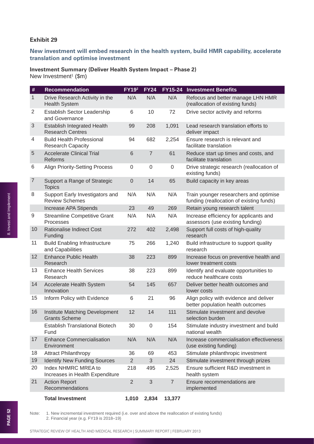### **Exhibit 29**

### **New investment will embed research in the health system, build HMR capability, accelerate translation and optimise investment**

### **Investment Summary (Deliver Health System Impact – Phase 2)**

New Investment<sup>1</sup> (\$m)

| $\#$           | <b>Recommendation</b>                                         | FY19 <sup>2</sup>   | <b>FY24</b>    | FY15-24        | <b>Investment Benefits</b>                                                         |
|----------------|---------------------------------------------------------------|---------------------|----------------|----------------|------------------------------------------------------------------------------------|
| $\mathbf{1}$   | Drive Research Activity in the<br><b>Health System</b>        | N/A                 | N/A            | N/A            | Refocus and better manage LHN HMR<br>(reallocation of existing funds)              |
| $\overline{2}$ | Establish Sector Leadership<br>and Governance                 | 6                   | 10             | 72             | Drive sector activity and reforms                                                  |
| 3              | <b>Establish Integrated Health</b><br><b>Research Centres</b> | 99                  | 208            | 1,091          | Lead research translation efforts to<br>deliver impact                             |
| 4              | <b>Build Health Professional</b><br><b>Research Capacity</b>  | 94                  | 682            | 2,254          | Ensure research is relevant and<br>facilitate translation                          |
| 5              | <b>Accelerate Clinical Trial</b><br><b>Reforms</b>            | 6                   | $\overline{7}$ | 61             | Reduce start up times and costs, and<br>facilitate translation                     |
| 6              | <b>Align Priority-Setting Process</b>                         | 0                   | 0              | 0              | Drive strategic research (reallocation of<br>existing funds)                       |
| $\overline{7}$ | Support a Range of Strategic<br><b>Topics</b>                 | $\mathsf{O}\xspace$ | 14             | 65             | Build capacity in key areas                                                        |
| 8              | Support Early Investigators and<br><b>Review Schemes</b>      | N/A                 | N/A            | N/A            | Train younger researchers and optimise<br>funding (reallocation of existing funds) |
|                | Increase APA Stipends                                         | 23                  | 49             | 269            | Retain young research talent                                                       |
| 9              | <b>Streamline Competitive Grant</b><br>Processes              | N/A                 | N/A            | N/A            | Increase efficiency for applicants and<br>assessors (use existing funding)         |
| 10             | <b>Rationalise Indirect Cost</b><br>Funding                   | 272                 | 402            | 2,498          | Support full costs of high-quality<br>research                                     |
| 11             | <b>Build Enabling Infrastructure</b><br>and Capabilities      | 75                  | 266            | 1,240          | Build infrastructure to support quality<br>research                                |
| 12             | <b>Enhance Public Health</b><br>Research                      | 38                  | 223            | 899            | Increase focus on preventive health and<br>lower treatment costs                   |
| 13             | <b>Enhance Health Services</b><br>Research                    | 38                  | 223            | 899            | Identify and evaluate opportunities to<br>reduce healthcare costs                  |
| 14             | Accelerate Health System<br>Innovation                        | 54                  | 145            | 657            | Deliver better health outcomes and<br>lower costs                                  |
| 15             | Inform Policy with Evidence                                   | 6                   | 21             | 96             | Align policy with evidence and deliver<br>better population health outcomes        |
| 16             | Institute Matching Development<br><b>Grants Scheme</b>        | 12                  | 14             | 111            | Stimulate investment and devolve<br>selection burden                               |
|                | <b>Establish Translational Biotech</b><br>Fund                | 30                  | $\mathbf 0$    | 154            | Stimulate industry investment and build<br>national wealth                         |
| 17             | <b>Enhance Commercialisation</b><br>Environment               | N/A                 | N/A            | N/A            | Increase commercialisation effectiveness<br>(use existing funding)                 |
| 18             | <b>Attract Philanthropy</b>                                   | 36                  | 69             | 453            | Stimulate philanthropic investment                                                 |
| 19             | <b>Identify New Funding Sources</b>                           | $\overline{2}$      | $\mathfrak{S}$ | 24             | Stimulate investment through prizes                                                |
| 20             | Index NHMRC MREA to<br>Increases in Health Expenditure        | 218                 | 495            | 2,525          | Ensure sufficient R&D investment in<br>health system                               |
| 21             | <b>Action Report</b><br>Recommendations                       | $\overline{2}$      | $\mathfrak{S}$ | $\overline{7}$ | Ensure recommendations are<br>implemented                                          |
|                | <b>Total Investment</b>                                       | 1,010               | 2,834          | 13,377         |                                                                                    |

Note: 1. New incremental investment required (i.e. over and above the reallocation of existing funds) 2. Financial year (e.g. FY19 is 2018–19)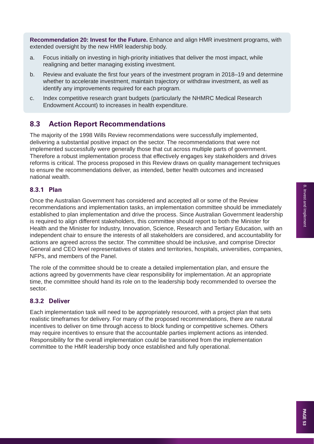**Recommendation 20: Invest for the Future.** Enhance and align HMR investment programs, with extended oversight by the new HMR leadership body.

- a. Focus initially on investing in high-priority initiatives that deliver the most impact, while realigning and better managing existing investment.
- b. Review and evaluate the first four years of the investment program in 2018–19 and determine whether to accelerate investment, maintain trajectory or withdraw investment, as well as identify any improvements required for each program.
- c. Index competitive research grant budgets (particularly the NHMRC Medical Research Endowment Account) to increases in health expenditure.

### **8.3 Action Report Recommendations**

The majority of the 1998 Wills Review recommendations were successfully implemented, delivering a substantial positive impact on the sector. The recommendations that were not implemented successfully were generally those that cut across multiple parts of government. Therefore a robust implementation process that effectively engages key stakeholders and drives reforms is critical. The process proposed in this Review draws on quality management techniques to ensure the recommendations deliver, as intended, better health outcomes and increased national wealth.

### **8.3.1 Plan**

Once the Australian Government has considered and accepted all or some of the Review recommendations and implementation tasks, an implementation committee should be immediately established to plan implementation and drive the process. Since Australian Government leadership is required to align different stakeholders, this committee should report to both the Minister for Health and the Minister for Industry, Innovation, Science, Research and Tertiary Education, with an independent chair to ensure the interests of all stakeholders are considered, and accountability for actions are agreed across the sector. The committee should be inclusive, and comprise Director General and CEO level representatives of states and territories, hospitals, universities, companies, NFPs, and members of the Panel.

The role of the committee should be to create a detailed implementation plan, and ensure the actions agreed by governments have clear responsibility for implementation. At an appropriate time, the committee should hand its role on to the leadership body recommended to oversee the sector.

### **8.3.2 Deliver**

Each implementation task will need to be appropriately resourced, with a project plan that sets realistic timeframes for delivery. For many of the proposed recommendations, there are natural incentives to deliver on time through access to block funding or competitive schemes. Others may require incentives to ensure that the accountable parties implement actions as intended. Responsibility for the overall implementation could be transitioned from the implementation committee to the HMR leadership body once established and fully operational.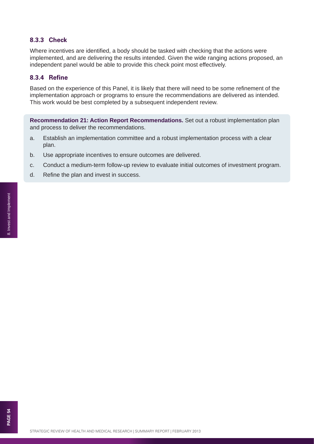### **8.3.3 Check**

Where incentives are identified, a body should be tasked with checking that the actions were implemented, and are delivering the results intended. Given the wide ranging actions proposed, an independent panel would be able to provide this check point most effectively.

### **8.3.4 Refi ne**

Based on the experience of this Panel, it is likely that there will need to be some refinement of the implementation approach or programs to ensure the recommendations are delivered as intended. This work would be best completed by a subsequent independent review.

**Recommendation 21: Action Report Recommendations.** Set out a robust implementation plan and process to deliver the recommendations.

- a. Establish an implementation committee and a robust implementation process with a clear plan.
- b. Use appropriate incentives to ensure outcomes are delivered.
- c. Conduct a medium-term follow-up review to evaluate initial outcomes of investment program.
- d. Refine the plan and invest in success.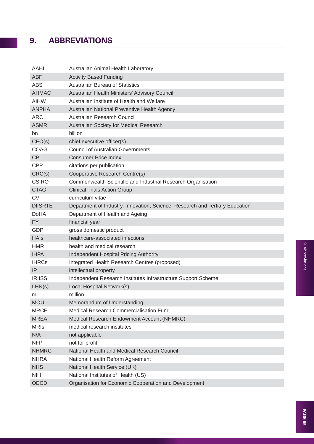## **9. ABBREVIATIONS**

| AAHL           | Australian Animal Health Laboratory                                          |
|----------------|------------------------------------------------------------------------------|
| <b>ABF</b>     | <b>Activity Based Funding</b>                                                |
| <b>ABS</b>     | <b>Australian Bureau of Statistics</b>                                       |
| <b>AHMAC</b>   | Australian Health Ministers' Advisory Council                                |
| <b>AIHW</b>    | Australian Institute of Health and Welfare                                   |
| <b>ANPHA</b>   | Australian National Preventive Health Agency                                 |
| <b>ARC</b>     | Australian Research Council                                                  |
| <b>ASMR</b>    | Australian Society for Medical Research                                      |
| bn             | billion                                                                      |
| CEO(s)         | chief executive officer(s)                                                   |
| <b>COAG</b>    | <b>Council of Australian Governments</b>                                     |
| <b>CPI</b>     | <b>Consumer Price Index</b>                                                  |
| <b>CPP</b>     | citations per publication                                                    |
| CRC(s)         | Cooperative Research Centre(s)                                               |
| <b>CSIRO</b>   | Commonwealth Scientific and Industrial Research Organisation                 |
| <b>CTAG</b>    | <b>Clinical Trials Action Group</b>                                          |
| <b>CV</b>      | curriculum vitae                                                             |
| <b>DIISRTE</b> | Department of Industry, Innovation, Science, Research and Tertiary Education |
| <b>DoHA</b>    | Department of Health and Ageing                                              |
| FY             | financial year                                                               |
| GDP            | gross domestic product                                                       |
| <b>HAIs</b>    | healthcare-associated infections                                             |
| <b>HMR</b>     | health and medical research                                                  |
| <b>IHPA</b>    | <b>Independent Hospital Pricing Authority</b>                                |
| <b>IHRCs</b>   | Integrated Health Research Centres (proposed)                                |
| IP             | intellectual property                                                        |
| <b>IRIISS</b>  | Independent Research Institutes Infrastructure Support Scheme                |
| LHN(s)         | Local Hospital Network(s)                                                    |
| m              | million                                                                      |
| <b>MOU</b>     | Memorandum of Understanding                                                  |
| <b>MRCF</b>    | <b>Medical Research Commercialisation Fund</b>                               |
| <b>MREA</b>    | Medical Research Endowment Account (NHMRC)                                   |
| <b>MRIs</b>    | medical research institutes                                                  |
| N/A            | not applicable                                                               |
| <b>NFP</b>     | not for profit                                                               |
| <b>NHMRC</b>   | National Health and Medical Research Council                                 |
| <b>NHRA</b>    | National Health Reform Agreement                                             |
| <b>NHS</b>     | National Health Service (UK)                                                 |
| <b>NIH</b>     | National Institutes of Health (US)                                           |
| <b>OECD</b>    | Organisation for Economic Cooperation and Development                        |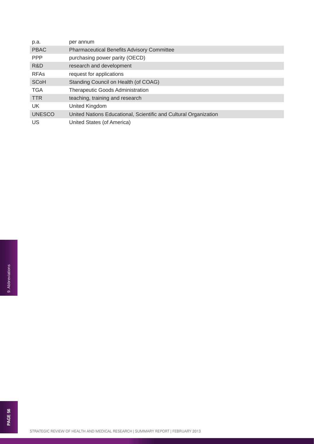| p.a.          | per annum                                                        |
|---------------|------------------------------------------------------------------|
| <b>PBAC</b>   | <b>Pharmaceutical Benefits Advisory Committee</b>                |
| <b>PPP</b>    | purchasing power parity (OECD)                                   |
| R&D           | research and development                                         |
| <b>RFAs</b>   | request for applications                                         |
| <b>SCoH</b>   | Standing Council on Health (of COAG)                             |
| <b>TGA</b>    | <b>Therapeutic Goods Administration</b>                          |
| <b>TTR</b>    | teaching, training and research                                  |
| UK.           | United Kingdom                                                   |
| <b>UNESCO</b> | United Nations Educational, Scientific and Cultural Organization |
| US            | United States (of America)                                       |